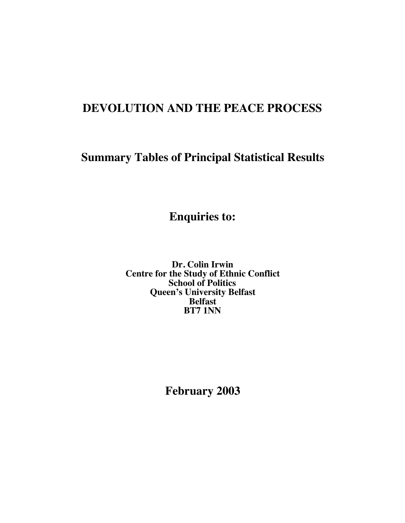# **DEVOLUTION AND THE PEACE PROCESS**

# **Summary Tables of Principal Statistical Results**

**Enquiries to:**

**Dr. Colin Irwin Centre for the Study of Ethnic Conflict School of Politics Queen's University Belfast Belfast BT7 1NN**

**February 2003**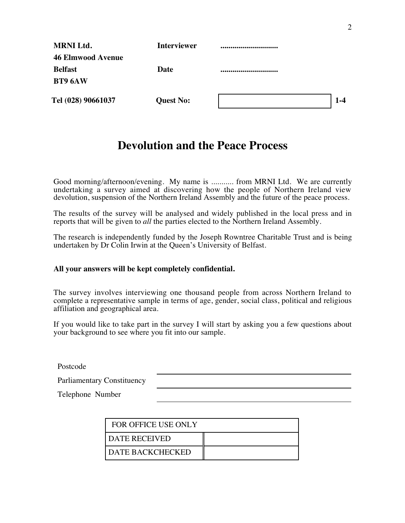| <b>MRNI Ltd.</b>         | <b>Interviewer</b> |         |
|--------------------------|--------------------|---------|
| <b>46 Elmwood Avenue</b> |                    |         |
| <b>Belfast</b>           | Date               |         |
| <b>BT9 6AW</b>           |                    |         |
| Tel (028) 90661037       | <b>Quest No:</b>   | $1 - 4$ |

# **Devolution and the Peace Process**

Good morning/afternoon/evening. My name is ........... from MRNI Ltd. We are currently undertaking a survey aimed at discovering how the people of Northern Ireland view devolution, suspension of the Northern Ireland Assembly and the future of the peace process.

The results of the survey will be analysed and widely published in the local press and in reports that will be given to *all* the parties elected to the Northern Ireland Assembly.

The research is independently funded by the Joseph Rowntree Charitable Trust and is being undertaken by Dr Colin Irwin at the Queen's University of Belfast.

#### **All your answers will be kept completely confidential.**

The survey involves interviewing one thousand people from across Northern Ireland to complete a representative sample in terms of age, gender, social class, political and religious affiliation and geographical area.

If you would like to take part in the survey I will start by asking you a few questions about your background to see where you fit into our sample.

Postcode

Parliamentary Constituency

Telephone Number

| <b>FOR OFFICE USE ONLY</b> |  |
|----------------------------|--|
| DATE RECEIVED              |  |
| DATE BACKCHECKED           |  |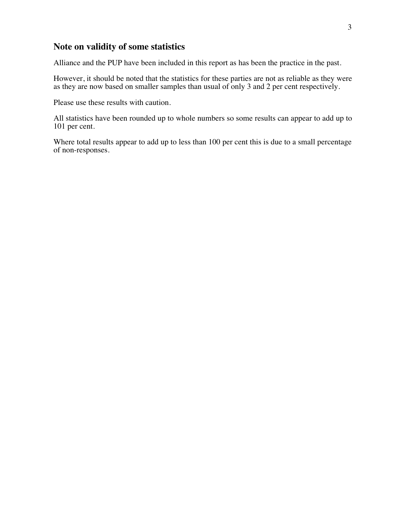#### **Note on validity of some statistics**

Alliance and the PUP have been included in this report as has been the practice in the past.

However, it should be noted that the statistics for these parties are not as reliable as they were as they are now based on smaller samples than usual of only 3 and 2 per cent respectively.

Please use these results with caution.

All statistics have been rounded up to whole numbers so some results can appear to add up to 101 per cent.

Where total results appear to add up to less than 100 per cent this is due to a small percentage of non-responses.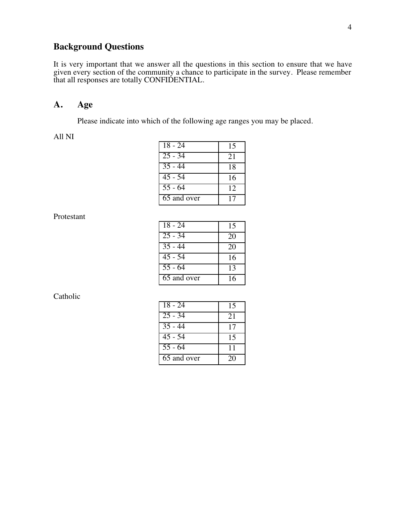## **Background Questions**

It is very important that we answer all the questions in this section to ensure that we have given every section of the community a chance to participate in the survey. Please remember that all responses are totally CONFIDENTIAL.

#### **A. Age**

Please indicate into which of the following age ranges you may be placed.

All NI

| 18 - 24                  | 15 |
|--------------------------|----|
| $\overline{25} - 34$     | 21 |
| $\overline{35}$ - 44     | 18 |
| $45 - 54$                | 16 |
| $55 - 64$                | 12 |
| $\overline{65}$ and over | 17 |

Protestant

| $18 - 24$                | 15 |
|--------------------------|----|
| $\overline{25}$ - 34     | 20 |
| $35 - 44$                | 20 |
| $45 - 54$                | 16 |
| $55 - 64$                | 13 |
| $\overline{65}$ and over | 16 |

| $18 - 24$            | 15 |
|----------------------|----|
| $25 - 34$            | 21 |
| $35 - 44$            | 17 |
| $\overline{45}$ - 54 | 15 |
| $55 - 64$            | 11 |
| 65 and over          | 20 |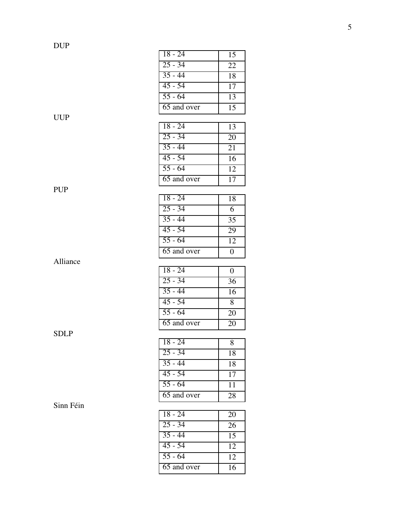PUP

SDLP

Sinn Féin

| $18 - 24$                | 15 |
|--------------------------|----|
| $25 - 34$                | 22 |
| $35 - 44$                | 18 |
| $45 - 54$                | 17 |
| $55 - 64$                | 13 |
| $\overline{65}$ and over | 15 |
|                          |    |
| $18 - 24$                | 13 |
| $25 - 34$                | 20 |
| $35 - 44$                | 21 |
| $45 - 54$                | 16 |
| $55 - 64$                | 12 |
| $\overline{65}$ and over | 17 |
|                          |    |

| $18 - 24$   | 18 |
|-------------|----|
| $25 - 34$   | 6  |
| $35 - 44$   | 35 |
| $45 - 54$   | 29 |
| $55 - 64$   | 12 |
| 65 and over | 0  |
|             |    |

| $18 - 24$            | 0  |
|----------------------|----|
| $25 - 34$            | 36 |
| $35 - 44$            | 16 |
| $45 - 54$            | 8  |
| $\overline{55}$ - 64 | 20 |
| 65 and over          | 20 |

| 18 - 24              | 8  |
|----------------------|----|
| $25 - 34$            | 18 |
| $\overline{35 - 44}$ | 18 |
| $\overline{45}$ - 54 | 17 |
| $\overline{55}$ - 64 | 11 |
| 65 and over          | 28 |

18 - 24 20 25 - 34 26 35 - 44 15 45 - 54 12 55 - 64 12 65 and over 16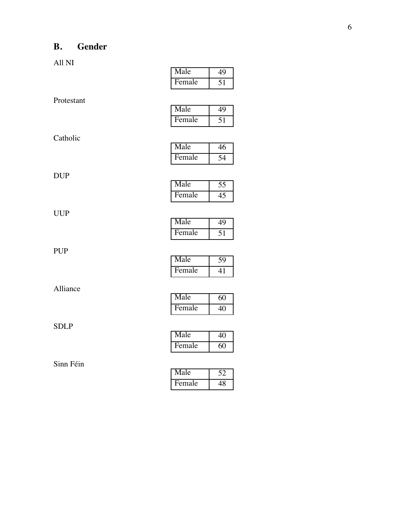# **B. Gender**

All NI

|             | remale | 10              |
|-------------|--------|-----------------|
| Protestant  |        |                 |
|             | Male   | 49              |
|             | Female | $\overline{51}$ |
| Catholic    |        |                 |
|             | Male   | 46              |
|             | Female | $\overline{54}$ |
| DUP         |        |                 |
|             | Male   | $\overline{55}$ |
|             | Female | $\overline{45}$ |
| <b>UUP</b>  |        |                 |
|             | Male   | 49              |
|             | Female | $\overline{51}$ |
| <b>PUP</b>  |        |                 |
|             | Male   | 59              |
|             | Female | 41              |
| Alliance    |        |                 |
|             | Male   | 60              |
|             | Female | 40              |
| <b>SDLP</b> |        |                 |
|             | Male   | $\overline{40}$ |
|             | Female | $\overline{60}$ |
| Sinn Féin   |        |                 |
|             | Male   | $\overline{52}$ |
|             | Female | 48              |

| Male   |  |
|--------|--|
| Female |  |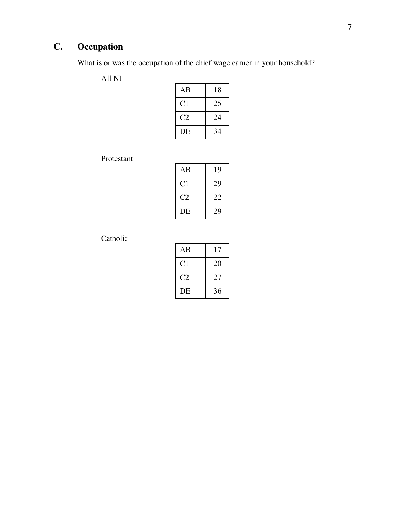# **C. Occupation**

What is or was the occupation of the chief wage earner in your household?

All NI

| AB   | 18 |
|------|----|
| C1   | 25 |
| C '2 | 24 |
| DE   | 34 |

Protestant

| AВ             | 19 |
|----------------|----|
| C <sub>1</sub> | 29 |
| C2             | 22 |
| DE             | 29 |

| AB | 17 |
|----|----|
| C1 | 20 |
| C2 | 27 |
| DE | 36 |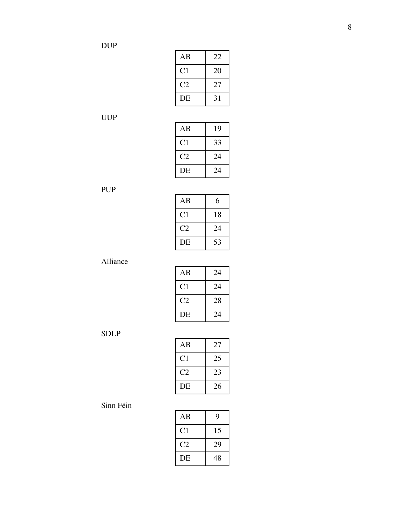| AB             | 22 |
|----------------|----|
| C <sub>1</sub> | 20 |
| C2             | 27 |
| DE             | 31 |

| AB             | 19 |
|----------------|----|
| C <sub>1</sub> | 33 |
| C2             | 24 |
| DE             | 24 |

PUP

| ΑB                     | 6  |
|------------------------|----|
| C <sub>1</sub>         | 18 |
| $\mathcal{C}^{\prime}$ | 24 |
| DE                     | 53 |

Alliance

| AB             | 24 |
|----------------|----|
| C <sub>1</sub> | 24 |
| C2             | 28 |
| DE             | 24 |

SDLP

| ΑB             | 27 |
|----------------|----|
| C <sub>1</sub> | 25 |
| C2             | 23 |
| DE             | 26 |

| AB             | 9  |
|----------------|----|
| C <sub>1</sub> | 15 |
| C2             | 29 |
| DE             | 48 |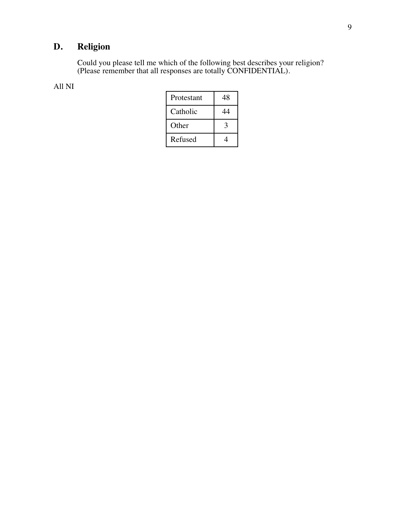# **D. Religion**

Could you please tell me which of the following best describes your religion? (Please remember that all responses are totally CONFIDENTIAL).

#### All NI

| Protestant | 48 |
|------------|----|
| Catholic   |    |
| Other      |    |
| Refused    |    |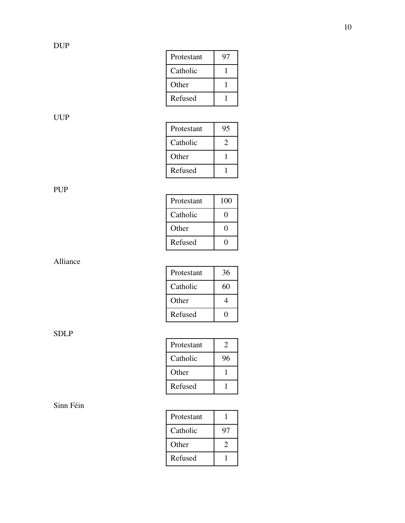| Protestant | Q′ |
|------------|----|
| Catholic   |    |
| Other      |    |
| Refused    |    |

| Protestant | 95 |
|------------|----|
| Catholic   |    |
| Other      |    |
| Refused    |    |

PUP

| Protestant | 100 |
|------------|-----|
| Catholic   | 0   |
| Other      | 0   |
| Refused    | ı I |

Alliance

| Protestant | 36 |
|------------|----|
| Catholic   | 60 |
| Other      | 4  |
| Refused    |    |

SDLP

| Protestant | Э  |
|------------|----|
| Catholic   | 96 |
| Other      |    |
| Refused    |    |

| Protestant |    |
|------------|----|
| Catholic   | 97 |
| Other      | 2  |
| Refused    |    |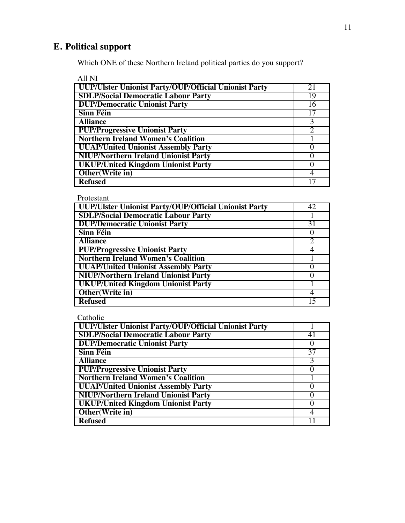## **E. Political support**

Which ONE of these Northern Ireland political parties do you support?

All NI **UUP/Ulster Unionist Party/OUP/Official Unionist Party** 21<br> **SDLP/Social Democratic Labour Party** 29 **SDLP/Social Democratic Labour Party** 19<br> **DUP/Democratic Unionist Party** 16 **DUP/Democratic Unionist Party** 16<br> **Sinn Féin** 17 **Sinn Féin** 17<br> **Alliance** 3 **Alliance** 3<br>**PUP/Progressive Unionist Party** 2 **PUP/Progressive Unionist Party** 2 **Northern Ireland Women's Coalition<br>
UUAP/United Unionist Assembly Party UUAP/United Unionist Assembly Party NIUP/Northern Ireland Unionist Party** 0<br> **UKUP/United Kingdom Unionist Party** 0 **UKUP/United Kingdom Unionist Party Other (Write in)** 4<br>Refused 17 **Refused** 

Protestant

| UUP/Ulster Unionist Party/OUP/Official Unionist Party |    |
|-------------------------------------------------------|----|
| <b>SDLP/Social Democratic Labour Party</b>            |    |
| <b>DUP/Democratic Unionist Party</b>                  | 31 |
| <b>Sinn Féin</b>                                      |    |
| <b>Alliance</b>                                       |    |
| <b>PUP/Progressive Unionist Party</b>                 |    |
| <b>Northern Ireland Women's Coalition</b>             |    |
| <b>UUAP/United Unionist Assembly Party</b>            |    |
| <b>NIUP/Northern Ireland Unionist Party</b>           |    |
| <b>UKUP/United Kingdom Unionist Party</b>             |    |
| Other(Write in)                                       |    |
| <b>Refused</b>                                        |    |

| UUP/Ulster Unionist Party/OUP/Official Unionist Party |    |
|-------------------------------------------------------|----|
| <b>SDLP/Social Democratic Labour Party</b>            |    |
| <b>DUP/Democratic Unionist Party</b>                  |    |
| <b>Sinn Féin</b>                                      | 37 |
| <b>Alliance</b>                                       |    |
| <b>PUP/Progressive Unionist Party</b>                 |    |
| <b>Northern Ireland Women's Coalition</b>             |    |
| <b>UUAP/United Unionist Assembly Party</b>            |    |
| <b>NIUP/Northern Ireland Unionist Party</b>           |    |
| <b>UKUP/United Kingdom Unionist Party</b>             |    |
| Other(Write in)                                       |    |
| <b>Refused</b>                                        |    |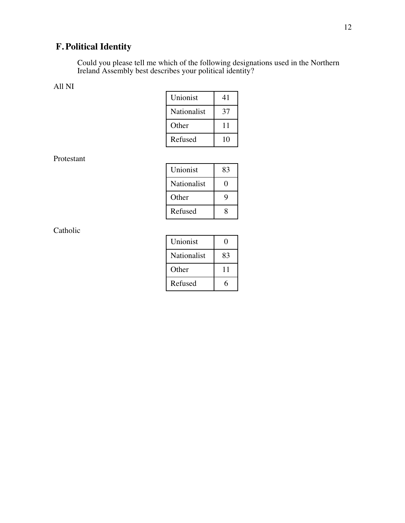# **F. Political Identity**

Could you please tell me which of the following designations used in the Northern Ireland Assembly best describes your political identity?

#### All NI

| Unionist    | 41 |
|-------------|----|
| Nationalist | 37 |
| Other       | 11 |
| Refused     | 10 |

Protestant

| Unionist    | 83 |
|-------------|----|
| Nationalist |    |
| Other       | 9  |
| Refused     | g  |

| Unionist    | H  |
|-------------|----|
| Nationalist | 83 |
| Other       | 11 |
| Refused     |    |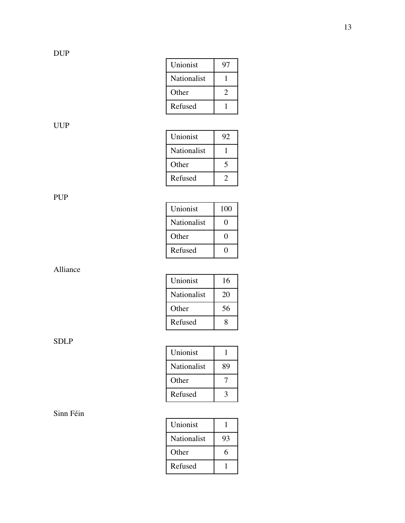| Unionist    | Q, |
|-------------|----|
| Nationalist |    |
| Other       |    |
| Refused     |    |

| Unionist    | 92 |
|-------------|----|
| Nationalist |    |
| Other       |    |
| Refused     |    |

PUP

| Unionist    | 100 |
|-------------|-----|
| Nationalist | 0   |
| Other       | 0   |
| Refused     |     |

Alliance

| Unionist    | 16 |
|-------------|----|
| Nationalist | 20 |
| Other       | 56 |
| Refused     | g  |

SDLP

| Unionist    |    |
|-------------|----|
| Nationalist | 89 |
| Other       |    |
| Refused     | ว  |

| Unionist    |    |
|-------------|----|
| Nationalist | 93 |
| Other       | 6  |
| Refused     |    |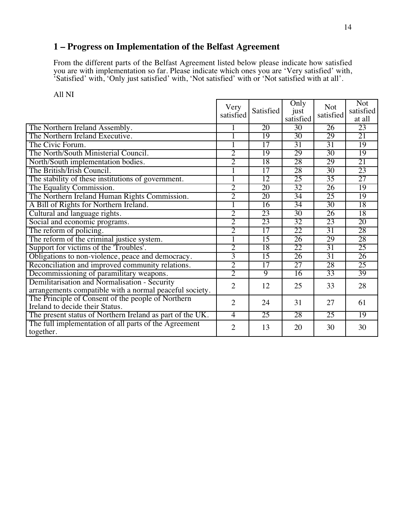## **1 – Progress on Implementation of the Belfast Agreement**

From the different parts of the Belfast Agreement listed below please indicate how satisfied you are with implementation so far. Please indicate which ones you are 'Very satisfied' with, 'Satisfied' with, 'Only just satisfied' with, 'Not satisfied' with or 'Not satisfied with at all'.

|--|--|

|                                                           | Very           | Only<br><b>Not</b> | <b>Not</b>        |                 |                     |
|-----------------------------------------------------------|----------------|--------------------|-------------------|-----------------|---------------------|
|                                                           | satisfied      | Satisfied          | just<br>satisfied | satisfied       | satisfied<br>at all |
| The Northern Ireland Assembly.                            |                | 20                 | $\overline{30}$   | 26              | 23                  |
|                                                           |                |                    |                   |                 |                     |
| The Northern Ireland Executive.                           |                | 19                 | $\overline{30}$   | 29              | 21                  |
| The Civic Forum.                                          |                | 17                 | $\overline{31}$   | 31              | 19                  |
| The North/South Ministerial Council.                      | $\overline{2}$ | 19                 | 29                | 30              | 19                  |
| North/South implementation bodies.                        | $\overline{2}$ | 18                 | 28                | 29              | 21                  |
| The British/Irish Council.                                |                | $\overline{17}$    | 28                | $\overline{30}$ | 23                  |
| The stability of these institutions of government.        | 1              | $\overline{12}$    | 25                | 35              | 27                  |
| The Equality Commission.                                  | $\overline{2}$ | 20                 | 32                | $\overline{26}$ | 19                  |
| The Northern Ireland Human Rights Commission.             | $\overline{2}$ | 20                 | $\overline{34}$   | 25              | 19                  |
| A Bill of Rights for Northern Ireland.                    |                | 16                 | 34                | 30              | 18                  |
| Cultural and language rights.                             | $\overline{2}$ | 23                 | $\overline{30}$   | $\overline{26}$ | 18                  |
| Social and economic programs.                             | $\overline{2}$ | 23                 | 32                | 23              | 20                  |
| The reform of policing.                                   | $\overline{2}$ | $\overline{17}$    | 22                | $\overline{31}$ | 28                  |
| The reform of the criminal justice system.                | 1              | $\overline{15}$    | $\overline{26}$   | 29              | 28                  |
| Support for victims of the 'Troubles'.                    | $\overline{2}$ | 18                 | 22                | 31              | 25                  |
| Obligations to non-violence, peace and democracy.         | $\overline{3}$ | 15                 | 26                | $\overline{31}$ | 26                  |
| Reconciliation and improved community relations.          | $\overline{2}$ | $\overline{17}$    | $\overline{27}$   | 28              | 25                  |
| Decommissioning of paramilitary weapons.                  | $\overline{2}$ | 9                  | 16                | 33              | 39                  |
| Demilitarisation and Normalisation - Security             | $\overline{2}$ | 12                 | 25                | 33              | 28                  |
| arrangements compatible with a normal peaceful society.   |                |                    |                   |                 |                     |
| The Principle of Consent of the people of Northern        | $\overline{2}$ | 24                 | 31                | 27              | 61                  |
| Ireland to decide their Status.                           |                |                    |                   |                 |                     |
| The present status of Northern Ireland as part of the UK. | $\overline{4}$ | 25                 | 28                | 25              | 19                  |
| The full implementation of all parts of the Agreement     | $\overline{2}$ | 13                 | 20                | 30              | 30                  |
| together.                                                 |                |                    |                   |                 |                     |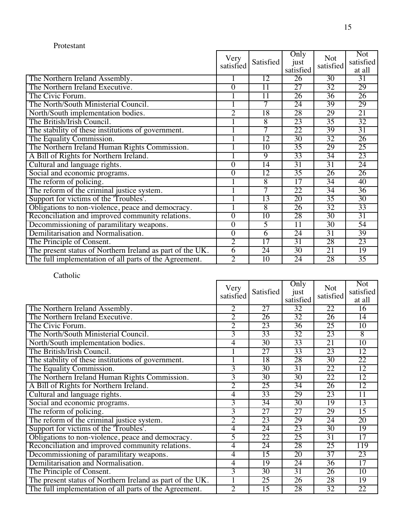| Protestant                                                |                   |                 |                           |                         |                                   |
|-----------------------------------------------------------|-------------------|-----------------|---------------------------|-------------------------|-----------------------------------|
|                                                           | Very<br>satisfied | Satisfied       | Only<br>just<br>satisfied | <b>Not</b><br>satisfied | <b>Not</b><br>satisfied<br>at all |
| The Northern Ireland Assembly.                            | 1                 | 12              | 26                        | $\overline{30}$         | $\overline{31}$                   |
| The Northern Ireland Executive.                           | $\overline{0}$    | 11              | 27                        | 32                      | 29                                |
| The Civic Forum.                                          |                   | 11              | 26                        | $\overline{36}$         | 26                                |
| The North/South Ministerial Council.                      |                   | 7               | 24                        | 39                      | 29                                |
| North/South implementation bodies.                        | $\overline{2}$    | 18              | 28                        | 29                      | 21                                |
| The British/Irish Council.                                |                   | 8               | 23                        | $\overline{35}$         | 32                                |
| The stability of these institutions of government.        | 1                 | $\overline{7}$  | 22                        | 39                      | 31                                |
| The Equality Commission.                                  | 1                 | $\overline{12}$ | $\overline{30}$           | $\overline{32}$         | 26                                |
| The Northern Ireland Human Rights Commission.             |                   | 10              | $\overline{35}$           | 29                      | 25                                |
| A Bill of Rights for Northern Ireland.                    | 1                 | $\overline{9}$  | 33                        | $\overline{34}$         | 23                                |
| Cultural and language rights.                             | $\overline{0}$    | 14              | 31                        | 31                      | 24                                |
| Social and economic programs.                             | $\overline{0}$    | 12              | $\overline{35}$           | 26                      | 26                                |
| The reform of policing.                                   |                   | 8               | 17                        | 34                      | 40                                |
| The reform of the criminal justice system.                |                   | 7               | 22                        | 34                      | $\overline{36}$                   |
| Support for victims of the 'Troubles'.                    |                   | 13              | 20                        | 35                      | 30                                |
| Obligations to non-violence, peace and democracy.         | 1                 | 8               | 26                        | $\overline{32}$         | 33                                |
| Reconciliation and improved community relations.          | $\overline{0}$    | $\overline{10}$ | 28                        | $\overline{30}$         | 31                                |
| Decommissioning of paramilitary weapons.                  | $\overline{0}$    | 5               | $\overline{11}$           | $\overline{30}$         | 54                                |
| Demilitarisation and Normalisation.                       | $\overline{0}$    | 6               | 24                        | $\overline{31}$         | 39                                |
| The Principle of Consent.                                 | $\overline{2}$    | 17              | $\overline{31}$           | 28                      | 23                                |
| The present status of Northern Ireland as part of the UK. | $\overline{6}$    | 24              | $\overline{30}$           | 21                      | 19                                |
| The full implementation of all parts of the Agreement.    | $\overline{2}$    | 10              | 24                        | 28                      | $\overline{35}$                   |

|                                                           | Very<br>satisfied | Satisfied       | Only<br>just<br>satisfied | <b>Not</b><br>satisfied | <b>Not</b><br>satisfied<br>at all |
|-----------------------------------------------------------|-------------------|-----------------|---------------------------|-------------------------|-----------------------------------|
| The Northern Ireland Assembly.                            | $\overline{2}$    | 27              | 32                        | 22                      | $\overline{16}$                   |
| The Northern Ireland Executive.                           | $\overline{2}$    | 26              | 32                        | 26                      | 14                                |
| The Civic Forum.                                          | $\overline{2}$    | 23              | $\overline{36}$           | 25                      | $\overline{10}$                   |
| The North/South Ministerial Council.                      | $\overline{3}$    | 33              | 32                        | 23                      | $\overline{8}$                    |
| North/South implementation bodies.                        | $\overline{4}$    | $\overline{30}$ | 33                        | 21                      | $\overline{10}$                   |
| The British/Irish Council.                                | 1                 | $\overline{27}$ | 33                        | 23                      | 12                                |
| The stability of these institutions of government.        | 1                 | 18              | 28                        | $\overline{30}$         | 22                                |
| The Equality Commission.                                  | $\overline{3}$    | 30              | $\overline{31}$           | 22                      | 12                                |
| The Northern Ireland Human Rights Commission.             | $\overline{3}$    | $\overline{30}$ | $\overline{30}$           | 22                      | 12                                |
| A Bill of Rights for Northern Ireland.                    | $\overline{2}$    | 25              | $\overline{34}$           | 26                      | 12                                |
| Cultural and language rights.                             | $\overline{4}$    | 33              | 29                        | 23                      | $\overline{11}$                   |
| Social and economic programs.                             | $\overline{3}$    | $\overline{34}$ | $\overline{30}$           | 19                      | 13                                |
| The reform of policing.                                   | $\overline{3}$    | $\overline{27}$ | $\overline{27}$           | 29                      | 15                                |
| The reform of the criminal justice system.                | $\overline{2}$    | 23              | 29                        | 24                      | $\overline{20}$                   |
| Support for victims of the 'Troubles'.                    | 4                 | 24              | 23                        | 30                      | 19                                |
| Obligations to non-violence, peace and democracy.         | 5                 | 22              | $\overline{25}$           | $\overline{31}$         | $\overline{17}$                   |
| Reconciliation and improved community relations.          | $\overline{4}$    | 24              | 28                        | 25                      | 119                               |
| Decommissioning of paramilitary weapons.                  | $\overline{4}$    | $\overline{15}$ | 20                        | $\overline{37}$         | 23                                |
| Demilitarisation and Normalisation.                       | $\overline{4}$    | 19              | 24                        | $\overline{36}$         | $\overline{17}$                   |
| The Principle of Consent.                                 | $\overline{3}$    | 30              | $\overline{31}$           | 26                      | 10                                |
| The present status of Northern Ireland as part of the UK. | 1                 | 25              | 26                        | 28                      | 19                                |
| The full implementation of all parts of the Agreement.    | $\overline{2}$    | 15              | 28                        | $\overline{32}$         | 22                                |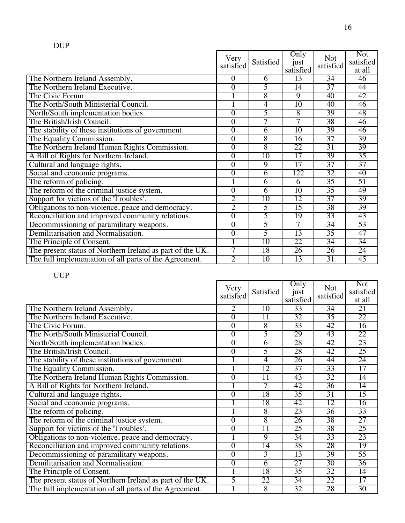| <b>DUP</b>                                                |                   |                 |                           |                         |                                   |
|-----------------------------------------------------------|-------------------|-----------------|---------------------------|-------------------------|-----------------------------------|
|                                                           | Very<br>satisfied | Satisfied       | Only<br>just<br>satisfied | <b>Not</b><br>satisfied | <b>Not</b><br>satisfied<br>at all |
| The Northern Ireland Assembly.                            | $\overline{0}$    | 6               | 13                        | $\overline{34}$         | 46                                |
| The Northern Ireland Executive.                           | $\overline{0}$    | 5               | $\overline{14}$           | 37                      | 44                                |
| The Civic Forum.                                          |                   | $\overline{8}$  | $\overline{9}$            | 40                      | 42                                |
| The North/South Ministerial Council.                      |                   | $\overline{4}$  | 10                        | 40                      | 46                                |
| North/South implementation bodies.                        | $\overline{0}$    | 5               | $\overline{8}$            | 39                      | 48                                |
| The British/Irish Council.                                | $\mathbf{0}$      | 7               | 7                         | 38                      | 46                                |
| The stability of these institutions of government.        | $\overline{0}$    | 6               | $\overline{10}$           | 39                      | 46                                |
| The Equality Commission.                                  | $\overline{0}$    | $\overline{8}$  | 16                        | $\overline{37}$         | 39                                |
| The Northern Ireland Human Rights Commission.             | $\overline{0}$    | $\overline{8}$  | 22                        | $\overline{31}$         | 39                                |
| A Bill of Rights for Northern Ireland.                    | $\overline{0}$    | 10              | 17                        | 39                      | 35                                |
| Cultural and language rights.                             | $\overline{0}$    | $\overline{9}$  | 17                        | 37                      | 37                                |
| Social and economic programs.                             | $\overline{0}$    | 6               | 122                       | $\overline{32}$         | 40                                |
| The reform of policing.                                   |                   | 6               | 6                         | $\overline{35}$         | 51                                |
| The reform of the criminal justice system.                | $\overline{0}$    | 6               | 10                        | $\overline{35}$         | 49                                |
| Support for victims of the 'Troubles'.                    | $\overline{2}$    | $\overline{10}$ | 12                        | $\overline{37}$         | 39                                |
| Obligations to non-violence, peace and democracy.         | $\overline{2}$    | 5               | 15                        | 38                      | 39                                |
| Reconciliation and improved community relations.          | $\overline{0}$    | $\overline{5}$  | 19                        | 33                      | 43                                |
| Decommissioning of paramilitary weapons.                  | $\overline{0}$    | 5               | 7                         | 34                      | 53                                |
| Demilitarisation and Normalisation.                       | $\overline{0}$    | 5               | 13                        | $\overline{35}$         | 47                                |
| The Principle of Consent.                                 | $\mathbf{1}$      | 10              | 22                        | $\overline{34}$         | $\overline{34}$                   |
| The present status of Northern Ireland as part of the UK. | 7                 | 18              | 26                        | 26                      | $\overline{24}$                   |
| The full implementation of all parts of the Agreement.    | $\overline{2}$    | 10              | 13                        | $\overline{31}$         | 45                                |

|                                                           | Very<br>satisfied | Satisfied       | Only<br>just<br>satisfied | <b>Not</b><br>satisfied | <b>Not</b><br>satisfied<br>at all |
|-----------------------------------------------------------|-------------------|-----------------|---------------------------|-------------------------|-----------------------------------|
| The Northern Ireland Assembly.                            | 2                 | $\overline{10}$ | 33                        | $\overline{34}$         | 21                                |
| The Northern Ireland Executive.                           | $\overline{0}$    | $\overline{11}$ | 32                        | $\overline{35}$         | 22                                |
| The Civic Forum.                                          | $\overline{0}$    | $\overline{8}$  | 33                        | 42                      | $\overline{16}$                   |
| The North/South Ministerial Council.                      | $\overline{0}$    | 5               | 29                        | 43                      | 22                                |
| North/South implementation bodies.                        | $\overline{0}$    | 6               | 28                        | 42                      | 23                                |
| The British/Irish Council.                                | $\overline{0}$    | 5               | 28                        | 42                      | 25                                |
| The stability of these institutions of government.        |                   | 4               | 26                        | 44                      | 24                                |
| The Equality Commission.                                  |                   | $\overline{12}$ | 37                        | 33                      | 17                                |
| The Northern Ireland Human Rights Commission.             | $\overline{0}$    | 11              | 43                        | $\overline{32}$         | $\overline{14}$                   |
| A Bill of Rights for Northern Ireland.                    |                   | 7               | 42                        | $\overline{36}$         | 14                                |
| Cultural and language rights.                             | $\overline{0}$    | 18              | $\overline{35}$           | $\overline{31}$         | 15                                |
| Social and economic programs.                             |                   | 18              | 42                        | 12                      | 16                                |
| The reform of policing.                                   |                   | 8               | 23                        | $\overline{36}$         | 33                                |
| The reform of the criminal justice system.                | $\overline{0}$    | 8               | 26                        | 38                      | 27                                |
| Support for victims of the 'Troubles'.                    | $\overline{0}$    | $\overline{11}$ | $\overline{25}$           | 38                      | 25                                |
| Obligations to non-violence, peace and democracy.         |                   | 9               | 34                        | 33                      | 23                                |
| Reconciliation and improved community relations.          | $\overline{0}$    | $\overline{14}$ | 38                        | 28                      | 19                                |
| Decommissioning of paramilitary weapons.                  | $\overline{0}$    | 3               | 13                        | 39                      | 55                                |
| Demilitarisation and Normalisation.                       | $\overline{0}$    | 6               | 27                        | 30                      | $\overline{36}$                   |
| The Principle of Consent.                                 |                   | 18              | $\overline{35}$           | $\overline{32}$         | $\overline{14}$                   |
| The present status of Northern Ireland as part of the UK. | 5                 | 22              | 34                        | 22                      | $\overline{17}$                   |
| The full implementation of all parts of the Agreement.    |                   | $\overline{8}$  | 32                        | 28                      | 30                                |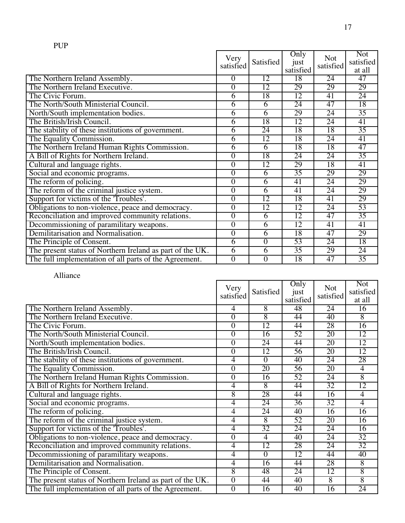|                                                           | Very<br>satisfied | Satisfied      | Only<br>just<br>satisfied | <b>Not</b><br>satisfied | <b>Not</b><br>satisfied<br>at all |
|-----------------------------------------------------------|-------------------|----------------|---------------------------|-------------------------|-----------------------------------|
| The Northern Ireland Assembly.                            | $\theta$          | 12             | 18                        | 24                      | 47                                |
| The Northern Ireland Executive.                           | 0                 | 12             | 29                        | 29                      | 29                                |
| The Civic Forum.                                          | 6                 | 18             | 12                        | 41                      | 24                                |
| The North/South Ministerial Council.                      | 6                 | 6              | 24                        | 47                      | 18                                |
| North/South implementation bodies.                        | $\overline{6}$    | $\overline{6}$ | 29                        | 24                      | $\overline{35}$                   |
| The British/Irish Council.                                | 6                 | 18             | 12                        | 24                      | 41                                |
| The stability of these institutions of government.        | $\overline{6}$    | 24             | 18                        | 18                      | 35                                |
| The Equality Commission.                                  | $\overline{6}$    | 12             | 18                        | 24                      | 41                                |
| The Northern Ireland Human Rights Commission.             | $\overline{6}$    | 6              | 18                        | 18                      | 47                                |
| A Bill of Rights for Northern Ireland.                    | $\boldsymbol{0}$  | 18             | 24                        | 24                      | 35                                |
| Cultural and language rights.                             | $\overline{0}$    | 12             | 29                        | 18                      | 41                                |
| Social and economic programs.                             | $\boldsymbol{0}$  | 6              | $\overline{35}$           | 29                      | 29                                |
| The reform of policing.                                   | $\overline{0}$    | 6              | 41                        | 24                      | 29                                |
| The reform of the criminal justice system.                | $\boldsymbol{0}$  | 6              | 41                        | 24                      | 29                                |
| Support for victims of the 'Troubles'.                    | $\overline{0}$    | 12             | 18                        | 41                      | 29                                |
| Obligations to non-violence, peace and democracy.         | $\boldsymbol{0}$  | 12             | 12                        | 24                      | 53                                |
| Reconciliation and improved community relations.          | $\overline{0}$    | 6              | 12                        | 47                      | $\overline{35}$                   |
| Decommissioning of paramilitary weapons.                  | $\overline{0}$    | 6              | 12                        | 41                      | 41                                |
| Demilitarisation and Normalisation.                       | $\overline{0}$    | 6              | 18                        | 47                      | 29                                |
| The Principle of Consent.                                 | $\overline{6}$    | $\Omega$       | 53                        | 24                      | 18                                |
| The present status of Northern Ireland as part of the UK. | $\overline{6}$    | 6              | $\overline{35}$           | 29                      | $\overline{24}$                   |
| The full implementation of all parts of the Agreement.    | $\overline{0}$    | $\theta$       | 18                        | 47                      | $\overline{35}$                   |

Alliance

|                                                           | Very             |                | Only              | <b>Not</b>      | <b>Not</b><br>satisfied |
|-----------------------------------------------------------|------------------|----------------|-------------------|-----------------|-------------------------|
|                                                           | satisfied        | Satisfied      | just<br>satisfied | satisfied       | at all                  |
| The Northern Ireland Assembly.                            | 4                | 8              | 48                | 24              | $\overline{16}$         |
| The Northern Ireland Executive.                           | $\overline{0}$   | 8              | 44                | 40              | $\overline{8}$          |
| The Civic Forum.                                          | $\overline{0}$   | 12             | 44                | 28              | 16                      |
| The North/South Ministerial Council.                      | $\overline{0}$   | 16             | 52                | $\overline{20}$ | 12                      |
| North/South implementation bodies.                        | $\overline{0}$   | 24             | 44                | 20              | 12                      |
| The British/Irish Council.                                | $\overline{0}$   | 12             | 56                | 20              | 12                      |
| The stability of these institutions of government.        | $\overline{4}$   | $\overline{0}$ | 40                | 24              | 28                      |
| The Equality Commission.                                  | $\overline{0}$   | 20             | 56                | $\overline{20}$ | $\overline{4}$          |
| The Northern Ireland Human Rights Commission.             | $\overline{0}$   | 16             | 52                | 24              | 8                       |
| A Bill of Rights for Northern Ireland.                    | 4                | 8              | 44                | $\overline{32}$ | 12                      |
| Cultural and language rights.                             | $\overline{8}$   | 28             | 44                | 16              | $\overline{4}$          |
| Social and economic programs.                             | 4                | 24             | 36                | 32              | $\overline{4}$          |
| The reform of policing.                                   | $\overline{4}$   | 24             | 40                | 16              | 16                      |
| The reform of the criminal justice system.                | 4                | 8              | 52                | 20              | 16                      |
| Support for victims of the 'Troubles'.                    | $\overline{4}$   | 32             | 24                | 24              | 16                      |
| Obligations to non-violence, peace and democracy.         | $\boldsymbol{0}$ | $\overline{4}$ | 40                | 24              | 32                      |
| Reconciliation and improved community relations.          | $\overline{4}$   | 12             | 28                | 24              | 32                      |
| Decommissioning of paramilitary weapons.                  | $\overline{4}$   | $\theta$       | 12                | 44              | 40                      |
| Demilitarisation and Normalisation.                       | $\overline{4}$   | 16             | 44                | 28              | 8                       |
| The Principle of Consent.                                 | $\overline{8}$   | 48             | 24                | 12              | $\overline{8}$          |
| The present status of Northern Ireland as part of the UK. | $\overline{0}$   | 44             | 40                | $\overline{8}$  | $\overline{8}$          |
| The full implementation of all parts of the Agreement.    | $\overline{0}$   | 16             | 40                | 16              | 24                      |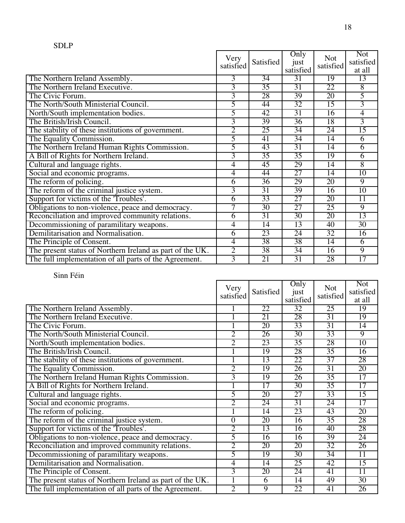|                                                           | Very<br>satisfied | Satisfied       | Only<br>just<br>satisfied | <b>Not</b><br>satisfied | <b>Not</b><br>satisfied<br>at all |
|-----------------------------------------------------------|-------------------|-----------------|---------------------------|-------------------------|-----------------------------------|
| The Northern Ireland Assembly.                            | 3                 | $\overline{34}$ | 31                        | 19                      | 13                                |
| The Northern Ireland Executive.                           | 3                 | $\overline{35}$ | 31                        | 22                      | $\overline{8}$                    |
| The Civic Forum.                                          | $\overline{3}$    | 28              | 39                        | 20                      | 5                                 |
| The North/South Ministerial Council.                      | 5                 | 44              | 32                        | 15                      | 3                                 |
| North/South implementation bodies.                        | 5                 | 42              | $\overline{31}$           | 16                      | 4                                 |
| The British/Irish Council.                                | 3                 | 39              | $\overline{36}$           | 18                      | $\overline{3}$                    |
| The stability of these institutions of government.        | $\overline{2}$    | $\overline{25}$ | $\overline{34}$           | 24                      | 15                                |
| The Equality Commission.                                  | 5                 | 41              | $\overline{34}$           | 14                      | 6                                 |
| The Northern Ireland Human Rights Commission.             | 5                 | 43              | 31                        | 14                      | $\overline{6}$                    |
| A Bill of Rights for Northern Ireland.                    | 3                 | $\overline{35}$ | $\overline{35}$           | 19                      | $\overline{6}$                    |
| Cultural and language rights.                             | 4                 | $\overline{45}$ | 29                        | 14                      | $\overline{8}$                    |
| Social and economic programs.                             | 4                 | 44              | 27                        | 14                      | 10                                |
| The reform of policing.                                   | 6                 | $\overline{36}$ | 29                        | 20                      | $\overline{9}$                    |
| The reform of the criminal justice system.                | 3                 | $\overline{31}$ | 39                        | 16                      | 10                                |
| Support for victims of the 'Troubles'.                    | $\overline{6}$    | 33              | $\overline{27}$           | 20                      | $\overline{11}$                   |
| Obligations to non-violence, peace and democracy.         | 7                 | $\overline{30}$ | $\overline{27}$           | $\overline{25}$         | $\overline{9}$                    |
| Reconciliation and improved community relations.          | $\overline{6}$    | $\overline{31}$ | $\overline{30}$           | 20                      | 13                                |
| Decommissioning of paramilitary weapons.                  | 4                 | 14              | 13                        | 40                      | 30                                |
| Demilitarisation and Normalisation.                       | 6                 | 23              | 24                        | 32                      | 16                                |
| The Principle of Consent.                                 | 4                 | 38              | 38                        | $\overline{14}$         | 6                                 |
| The present status of Northern Ireland as part of the UK. | $\overline{2}$    | 38              | $\overline{34}$           | 16                      | $\overline{9}$                    |
| The full implementation of all parts of the Agreement.    | $\overline{3}$    | 21              | 31                        | 28                      | $\overline{17}$                   |

|                                                           | Very<br>satisfied | Satisfied       | Only<br>just<br>satisfied | <b>Not</b><br>satisfied | <b>Not</b><br>satisfied<br>at all |
|-----------------------------------------------------------|-------------------|-----------------|---------------------------|-------------------------|-----------------------------------|
| The Northern Ireland Assembly.                            |                   | 22              | 32                        | 25                      | 19                                |
| The Northern Ireland Executive.                           | 1                 | 21              | 28                        | $\overline{31}$         | 19                                |
| The Civic Forum.                                          | 1                 | 20              | 33                        | 31                      | 14                                |
| The North/South Ministerial Council.                      | $\overline{2}$    | 26              | $\overline{30}$           | 33                      | $\overline{9}$                    |
| North/South implementation bodies.                        | $\overline{2}$    | 23              | $\overline{35}$           | 28                      | 10                                |
| The British/Irish Council.                                | 1                 | 19              | 28                        | $\overline{35}$         | 16                                |
| The stability of these institutions of government.        | 1                 | 13              | 22                        | $\overline{37}$         | 28                                |
| The Equality Commission.                                  | $\overline{2}$    | 19              | 26                        | $\overline{31}$         | 20                                |
| The Northern Ireland Human Rights Commission.             | $\overline{3}$    | 19              | 26                        | $\overline{35}$         | 17                                |
| A Bill of Rights for Northern Ireland.                    | 1                 | $\overline{17}$ | $\overline{30}$           | $\overline{35}$         | $\overline{17}$                   |
| Cultural and language rights.                             | 5                 | 20              | $\overline{27}$           | 33                      | 15                                |
| Social and economic programs.                             | $\overline{2}$    | 24              | $\overline{31}$           | 24                      | $\overline{17}$                   |
| The reform of policing.                                   | Ī                 | 14              | 23                        | 43                      | 20                                |
| The reform of the criminal justice system.                | $\overline{0}$    | 20              | 16                        | $\overline{35}$         | 28                                |
| Support for victims of the 'Troubles'.                    | $\overline{2}$    | 13              | 16                        | 40                      | 28                                |
| Obligations to non-violence, peace and democracy.         | 5                 | 16              | 16                        | 39                      | 24                                |
| Reconciliation and improved community relations.          | $\overline{2}$    | 20              | 20                        | $\overline{32}$         | 26                                |
| Decommissioning of paramilitary weapons.                  | 5                 | 19              | 30                        | $\overline{34}$         | $\overline{11}$                   |
| Demilitarisation and Normalisation.                       | $\overline{4}$    | $\overline{14}$ | $\overline{25}$           | 42                      | 15                                |
| The Principle of Consent.                                 | $\overline{3}$    | 20              | 24                        | 41                      | $\overline{11}$                   |
| The present status of Northern Ireland as part of the UK. | $\overline{1}$    | $\overline{6}$  | $\overline{14}$           | 49                      | 30                                |
| The full implementation of all parts of the Agreement.    | $\overline{2}$    | 9               | 22                        | 41                      | 26                                |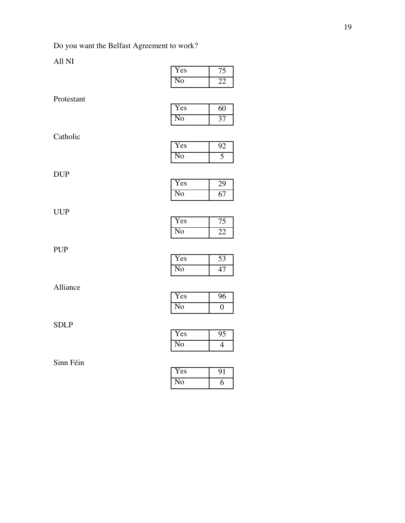## All NI

|             | No             | 22              |
|-------------|----------------|-----------------|
| Protestant  |                |                 |
|             | Yes            | 60              |
|             | N <sub>0</sub> | 37              |
| Catholic    |                |                 |
|             | Yes            | 92              |
|             | N <sub>0</sub> | $\overline{5}$  |
| <b>DUP</b>  |                |                 |
|             | Yes            | 29              |
|             | N <sub>0</sub> | 67              |
| <b>UUP</b>  |                |                 |
|             | Yes            | 75              |
|             | N <sub>0</sub> | $\overline{22}$ |
| <b>PUP</b>  |                |                 |
|             | Yes            | $\overline{53}$ |
|             | N <sub>0</sub> | $\overline{47}$ |
| Alliance    |                |                 |
|             | Yes            | 96              |
|             | N <sub>0</sub> | $\overline{0}$  |
| <b>SDLP</b> |                |                 |
|             | Yes            | 95              |
|             | N <sub>0</sub> | $\overline{4}$  |
| Sinn Féin   |                |                 |
|             |                |                 |

| 'es |   |
|-----|---|
| റ   | n |

Yes 75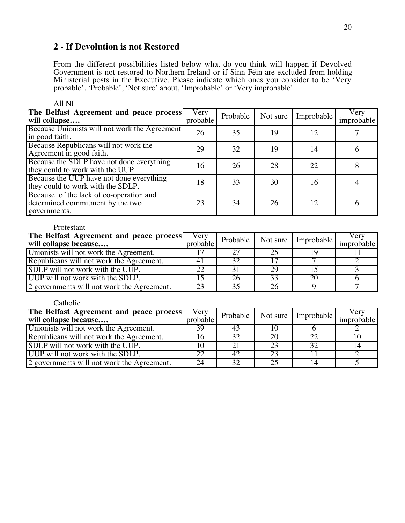## **2 - If Devolution is not Restored**

From the different possibilities listed below what do you think will happen if Devolved Government is not restored to Northern Ireland or if Sinn Féin are excluded from holding Ministerial posts in the Executive. Please indicate which ones you consider to be 'Very probable', 'Probable', 'Not sure' about, 'Improbable' or 'Very improbable'.

| The Belfast Agreement and peace process<br>will collapse                                    | Very<br>probable | Probable | Not sure | Improbable | Very<br>improbable |
|---------------------------------------------------------------------------------------------|------------------|----------|----------|------------|--------------------|
| Because Unionists will not work the Agreement<br>in good faith.                             | 26               | 35       | 19       | 12         |                    |
| Because Republicans will not work the<br>Agreement in good faith.                           | 29               | 32       | 19       | 14         | O                  |
| Because the SDLP have not done everything<br>they could to work with the UUP.               | 16               | 26       | 28       | 22         | 8                  |
| Because the UUP have not done everything<br>they could to work with the SDLP.               | 18               | 33       | 30       | 16         |                    |
| Because of the lack of co-operation and<br>determined commitment by the two<br>governments. | 23               | 34       | 26       | 12         | 6                  |

#### All NI

#### Protestant

| The Belfast Agreement and peace process<br>will collapse because | Very<br>probable |    |    | Probable   Not sure   Improbable | Verv<br>improbable |
|------------------------------------------------------------------|------------------|----|----|----------------------------------|--------------------|
| Unionists will not work the Agreement.                           |                  | 27 |    |                                  |                    |
| Republicans will not work the Agreement.                         | 4                | 32 |    |                                  |                    |
| SDLP will not work with the UUP.                                 | 22               | 31 | 29 |                                  |                    |
| UUP will not work with the SDLP.                                 |                  |    | 33 | 20                               |                    |
| 2 governments will not work the Agreement.                       |                  |    |    |                                  |                    |

| The Belfast Agreement and peace process<br>will collapse because | Very<br>probable |    |    | Probable   Not sure   Improbable | Verv<br>improbable |
|------------------------------------------------------------------|------------------|----|----|----------------------------------|--------------------|
| Unionists will not work the Agreement.                           | 39               | 43 |    |                                  |                    |
| Republicans will not work the Agreement.                         |                  | 32 | 20 |                                  |                    |
| SDLP will not work with the UUP.                                 |                  | 21 | 23 |                                  |                    |
| UUP will not work with the SDLP.                                 |                  | 42 | 23 |                                  |                    |
| 2 governments will not work the Agreement.                       | 24               | 32 | 25 |                                  |                    |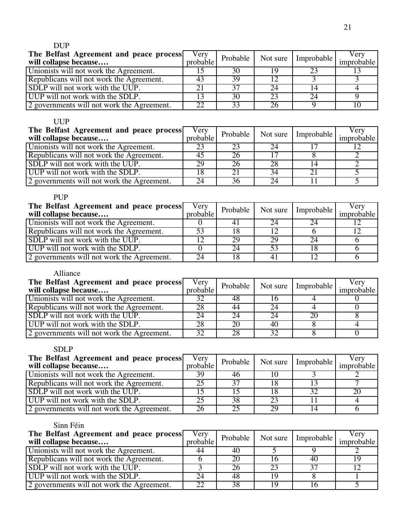## DUP

| The Belfast Agreement and peace process<br>will collapse because | Very<br>probable |    |    | Probable   Not sure   Improbable | Very<br>improbable |
|------------------------------------------------------------------|------------------|----|----|----------------------------------|--------------------|
| Unionists will not work the Agreement.                           |                  | 30 |    |                                  |                    |
| Republicans will not work the Agreement.                         | 43               | 39 |    |                                  |                    |
| SDLP will not work with the UUP.                                 |                  | 37 | 24 |                                  |                    |
| UUP will not work with the SDLP.                                 |                  | 30 | 23 |                                  |                    |
| 2 governments will not work the Agreement.                       | $\cap$           | 33 |    |                                  |                    |

## UUP

| The Belfast Agreement and peace process<br>will collapse because | Very<br>probable |    |    | Probable   Not sure   Improbable | Very<br>improbable |
|------------------------------------------------------------------|------------------|----|----|----------------------------------|--------------------|
| Unionists will not work the Agreement.                           |                  | 23 | 24 |                                  |                    |
| Republicans will not work the Agreement.                         |                  |    |    |                                  |                    |
| SDLP will not work with the UUP.                                 | 29               | 26 | 28 |                                  |                    |
| UUP will not work with the SDLP.                                 |                  | 21 | 34 |                                  |                    |
| 2 governments will not work the Agreement.                       | 24               | 36 | 24 |                                  |                    |

| <b>PUP</b>                                                       |                  |          |    |                       |                    |
|------------------------------------------------------------------|------------------|----------|----|-----------------------|--------------------|
| The Belfast Agreement and peace process<br>will collapse because | Very<br>probable | Probable |    | Not sure   Improbable | Verv<br>improbable |
| Unionists will not work the Agreement.                           |                  |          |    |                       |                    |
| Republicans will not work the Agreement.                         | 53               | 18       |    |                       |                    |
| SDLP will not work with the UUP.                                 |                  | 29       | 29 | 24                    |                    |
| UUP will not work with the SDLP.                                 |                  | 24       | 53 |                       |                    |
| 2 governments will not work the Agreement.                       | 24               | 18       | 41 |                       |                    |

## Alliance

| The Belfast Agreement and peace process<br>will collapse because | Very<br>probable |    |    | Probable   Not sure   Improbable | Verv<br>improbable |
|------------------------------------------------------------------|------------------|----|----|----------------------------------|--------------------|
| Unionists will not work the Agreement.                           |                  | 48 |    |                                  |                    |
| Republicans will not work the Agreement.                         | 28               | 44 | 24 |                                  |                    |
| SDLP will not work with the UUP.                                 | 24               | 24 | 24 |                                  |                    |
| UUP will not work with the SDLP.                                 |                  | 20 | 40 |                                  |                    |
| 2 governments will not work the Agreement.                       | 32               | 28 | 32 |                                  |                    |

## SDLP

| The Belfast Agreement and peace process<br>will collapse because | Very<br>probable |    |    | Probable   Not sure   Improbable | Verv<br>improbable |
|------------------------------------------------------------------|------------------|----|----|----------------------------------|--------------------|
| Unionists will not work the Agreement.                           | 39               | 46 |    |                                  |                    |
| Republicans will not work the Agreement.                         |                  | 37 |    |                                  |                    |
| SDLP will not work with the UUP.                                 |                  |    |    | 30                               |                    |
| UUP will not work with the SDLP.                                 |                  | 38 | 23 |                                  |                    |
| 2 governments will not work the Agreement.                       | 26.              | 25 | 29 |                                  |                    |

| The Belfast Agreement and peace process<br>will collapse because | Very<br>probable |    | Probable   Not sure   Improbable | Very<br>improbable |
|------------------------------------------------------------------|------------------|----|----------------------------------|--------------------|
| Unionists will not work the Agreement.                           | 44               | 40 |                                  |                    |
| Republicans will not work the Agreement.                         |                  | 20 | 40                               |                    |
| SDLP will not work with the UUP.                                 |                  | 26 |                                  |                    |
| UUP will not work with the SDLP.                                 |                  | 48 |                                  |                    |
| 2 governments will not work the Agreement.                       | 22               | 38 |                                  |                    |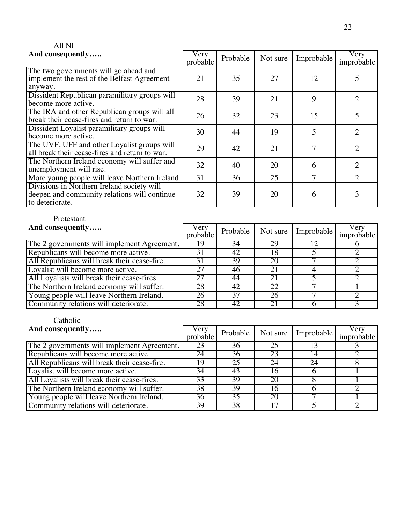| All NI                                                                                                        |                  |          |          |            |                             |
|---------------------------------------------------------------------------------------------------------------|------------------|----------|----------|------------|-----------------------------|
| And consequently                                                                                              | Very<br>probable | Probable | Not sure | Improbable | Very<br>improbable          |
| The two governments will go ahead and<br>implement the rest of the Belfast Agreement<br>anyway.               | 21               | 35       | 27       | 12         | 5                           |
| Dissident Republican paramilitary groups will<br>become more active.                                          | 28               | 39       | 21       | 9          | $\mathfrak{D}$              |
| The IRA and other Republican groups will all<br>break their cease-fires and return to war.                    | 26               | 32       | 23       | 15         | 5                           |
| Dissident Loyalist paramilitary groups will<br>become more active.                                            | 30               | 44       | 19       | 5          | $\overline{2}$              |
| The UVF, UFF and other Loyalist groups will<br>all break their cease-fires and return to war.                 | 29               | 42       | 21       | 7          | $\mathcal{D}_{\mathcal{L}}$ |
| The Northern Ireland economy will suffer and<br>unemployment will rise.                                       | 32               | 40       | 20       | 6          | $\overline{2}$              |
| More young people will leave Northern Ireland.                                                                | $\overline{31}$  | 36       | 25       |            | $\mathcal{D}_{\mathcal{L}}$ |
| Divisions in Northern Ireland society will<br>deepen and community relations will continue<br>to deteriorate. | 32               | 39       | 20       | 6          |                             |

## Protestant

| And consequently                             | Very<br>probable | Probable | Not sure | Improbable | Very<br>improbable |
|----------------------------------------------|------------------|----------|----------|------------|--------------------|
| The 2 governments will implement Agreement.  | 19               | 34       | 29       |            |                    |
| Republicans will become more active.         | 31               | 42       | 18       |            |                    |
| All Republicans will break their cease-fire. |                  | 39       | 20       |            |                    |
| Loyalist will become more active.            | 27               | 46       | 21       |            |                    |
| All Loyalists will break their cease-fires.  | 27               | 44       | 21       |            |                    |
| The Northern Ireland economy will suffer.    | 28               | 42       | 22       |            |                    |
| Young people will leave Northern Ireland.    | 26               | 37       | 26       |            |                    |
| Community relations will deteriorate.        | 28               | 42       |          |            |                    |

| And consequently                             | Very<br>probable | Probable | Not sure | Improbable | Very<br>improbable |
|----------------------------------------------|------------------|----------|----------|------------|--------------------|
| The 2 governments will implement Agreement.  | 23               | 36       | 25       |            |                    |
| Republicans will become more active.         | 24               | 36       | 23       | 14         |                    |
| All Republicans will break their cease-fire. | Q                | 25       | 24       | 24         |                    |
| Loyalist will become more active.            | 34               | 43       | 16       |            |                    |
| All Loyalists will break their cease-fires.  | 33               | 39       | 20       |            |                    |
| The Northern Ireland economy will suffer.    | 38               | 39       | Iб       |            |                    |
| Young people will leave Northern Ireland.    | 36               | 35       | 20       |            |                    |
| Community relations will deteriorate.        | 39               | 38       |          |            |                    |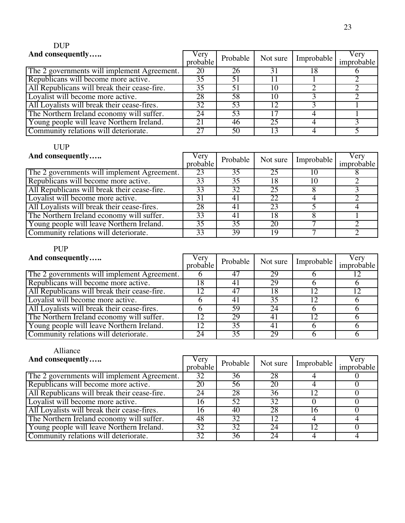# DUP

| And consequently                             | Very<br>probable |    |    | Probable   Not sure   Improbable | Very<br>improbable |
|----------------------------------------------|------------------|----|----|----------------------------------|--------------------|
| The 2 governments will implement Agreement.  | 20               | 26 | 31 |                                  |                    |
| Republicans will become more active.         | 35               | 51 |    |                                  |                    |
| All Republicans will break their cease-fire. | 35               | 51 | 10 |                                  |                    |
| Loyalist will become more active.            | 28               | 58 | 10 |                                  |                    |
| All Loyalists will break their cease-fires.  | 32               | 53 | 12 |                                  |                    |
| The Northern Ireland economy will suffer.    | 24               | 53 |    |                                  |                    |
| Young people will leave Northern Ireland.    | 21               | 46 | 25 |                                  |                    |
| Community relations will deteriorate.        |                  | 50 |    |                                  |                    |

# UUP

| And consequently                             | Very<br>probable | Probable        | Not sure | Improbable | Very<br>improbable |
|----------------------------------------------|------------------|-----------------|----------|------------|--------------------|
| The 2 governments will implement Agreement.  | 23               | $\overline{35}$ | 25       |            |                    |
| Republicans will become more active.         | 33               | 35              | 18       |            |                    |
| All Republicans will break their cease-fire. | 33               | 32              | 25       |            |                    |
| Loyalist will become more active.            | 31               | 41              | 22       |            |                    |
| All Loyalists will break their cease-fires.  | 28               | 41              | 23       |            |                    |
| The Northern Ireland economy will suffer.    | 33               | 41              | 18       |            |                    |
| Young people will leave Northern Ireland.    | 35               | 35              | 20       |            |                    |
| Community relations will deteriorate.        | 33               | 39              | 19       |            |                    |

# PUP

| And consequently                             | Very<br>probable | Probable | Not sure             | Improbable | Very<br>improbable |
|----------------------------------------------|------------------|----------|----------------------|------------|--------------------|
| The 2 governments will implement Agreement.  |                  | 47       | 29                   |            |                    |
| Republicans will become more active.         | 8                | 41       | 29                   |            |                    |
| All Republicans will break their cease-fire. |                  | 47       | 18                   |            |                    |
| Loyalist will become more active.            |                  | 4        | 35                   |            |                    |
| All Loyalists will break their cease-fires.  |                  | 59       | 24                   |            |                    |
| The Northern Ireland economy will suffer.    |                  | 29       | $\mathbf{4}^{\circ}$ |            |                    |
| Young people will leave Northern Ireland.    | 12               | 35       | 41                   |            |                    |
| Community relations will deteriorate.        | 24               | 35       | 29                   |            |                    |

# Alliance

| And consequently                             | Very<br>probable | Probable | Not sure | Improbable | Very<br>improbable |
|----------------------------------------------|------------------|----------|----------|------------|--------------------|
| The 2 governments will implement Agreement.  | 32               | 36       | 28       |            |                    |
| Republicans will become more active.         | 20               | 56       | 20       |            |                    |
| All Republicans will break their cease-fire. | 24               | 28       | 36       |            |                    |
| Loyalist will become more active.            | 16               | 52       | 32       |            |                    |
| All Loyalists will break their cease-fires.  | l6               | 40       | 28       |            |                    |
| The Northern Ireland economy will suffer.    | 48               | 32       |          |            |                    |
| Young people will leave Northern Ireland.    | 32               | 32       | 24       |            |                    |
| Community relations will deteriorate.        | 32               | 36       | 24       |            |                    |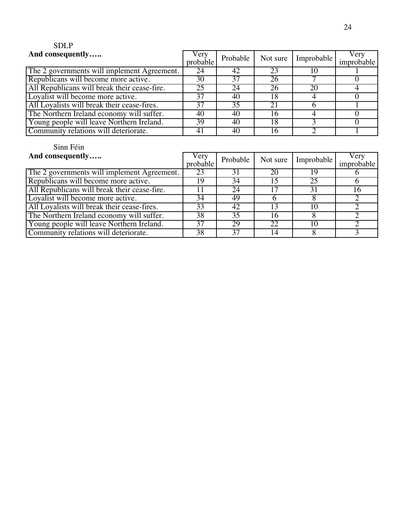# SDLP

| And consequently                             | Very<br>probable |                 |    | Probable   Not sure   Improbable | Very<br>improbable |
|----------------------------------------------|------------------|-----------------|----|----------------------------------|--------------------|
| The 2 governments will implement Agreement.  | 24               | 42              | 23 |                                  |                    |
| Republicans will become more active.         | 30               | 37              | 26 |                                  |                    |
| All Republicans will break their cease-fire. | 25               | 24              | 26 | 20                               |                    |
| Loyalist will become more active.            | 37               | 40              |    |                                  |                    |
| All Loyalists will break their cease-fires.  | 37               | $\overline{35}$ | 21 |                                  |                    |
| The Northern Ireland economy will suffer.    | 40               | 40              |    |                                  |                    |
| Young people will leave Northern Ireland.    | 39               | 40              | 18 |                                  |                    |
| Community relations will deteriorate.        | 41               | 40              |    |                                  |                    |

| And consequently                             | Very<br>probable | Probable | Not sure | Improbable | Very<br>improbable |
|----------------------------------------------|------------------|----------|----------|------------|--------------------|
| The 2 governments will implement Agreement.  | 23               | 31       | 20       |            |                    |
| Republicans will become more active.         | 19               | 34       |          | 25         |                    |
| All Republicans will break their cease-fire. |                  | 24       |          |            | 16                 |
| Loyalist will become more active.            | 34               | 49       |          |            |                    |
| All Loyalists will break their cease-fires.  | 33               | 42       |          | 10         |                    |
| The Northern Ireland economy will suffer.    | 38               | 35       |          |            |                    |
| Young people will leave Northern Ireland.    | 37               | 29       | 22       | 10         |                    |
| Community relations will deteriorate.        | 38               | 37       |          |            |                    |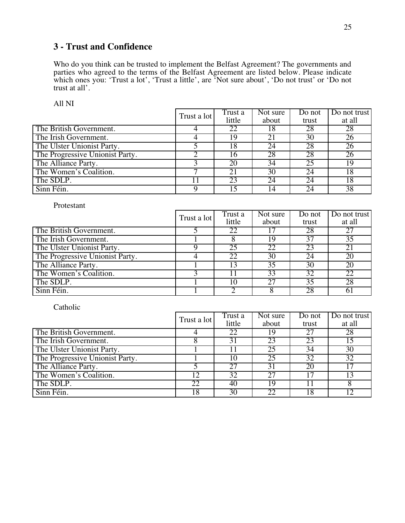## **3 - Trust and Confidence**

Who do you think can be trusted to implement the Belfast Agreement? The governments and parties who agreed to the terms of the Belfast Agreement are listed below. Please indicate which ones you: 'Trust a lot', 'Trust a little', are 'Not sure about', 'Do not trust' or 'Do not trust at all'.

|--|--|

|                                 | Trust a lot | Trust a<br>little | Not sure<br>about | Do not<br>trust | Do not trust<br>at all |
|---------------------------------|-------------|-------------------|-------------------|-----------------|------------------------|
| The British Government.         |             | 22                | 18                | 28              | 28                     |
| The Irish Government.           |             | 19                | 21                | 30              | 26                     |
| The Ulster Unionist Party.      |             | 18                | 24                | 28              | $\overline{26}$        |
| The Progressive Unionist Party. |             | 16                | 28                | 28              | 26                     |
| The Alliance Party.             |             | 20                | 34                | 25              | 19                     |
| The Women's Coalition.          |             | 21                | 30                | 24              | 18                     |
| The SDLP.                       |             | 23                | 24                | 24              | 18                     |
| Sinn Féin.                      |             | 15                | 14                | 24              | 38                     |

Protestant

|                                 | Trust a lot | Trust a | Not sure | Do not | Do not trust    |
|---------------------------------|-------------|---------|----------|--------|-----------------|
|                                 |             | little  | about    | trust  | at all          |
| The British Government.         |             | 22      |          | 28     | 27              |
| The Irish Government.           |             | δ       | 19       | 37     | $\overline{35}$ |
| The Ulster Unionist Party.      |             | 25      | 22       | 23     | 21              |
| The Progressive Unionist Party. |             | 22      | 30       | 24     | 20              |
| The Alliance Party.             |             | 13      | 35       | 30     | 20              |
| The Women's Coalition.          |             | 11      | 33       | 32     | 22              |
| The SDLP.                       |             | 10      | 27       | 35     | 28              |
| Sinn Féin.                      |             |         |          | 28     | 61              |

|                                 | Trust a lot | Trust a | Not sure | Do not | Do not trust    |
|---------------------------------|-------------|---------|----------|--------|-----------------|
|                                 |             | little  | about    | trust  | at all          |
| The British Government.         |             | 22      | 19       |        | 28              |
| The Irish Government.           |             | 31      | 23       | 23     | 15              |
| The Ulster Unionist Party.      |             |         | 25       | 34     | $\overline{30}$ |
| The Progressive Unionist Party. |             | 10      | 25       | 32     | 32              |
| The Alliance Party.             |             | 27      | 31       | 20     | 17              |
| The Women's Coalition.          | 12          | 32      | 27       |        | 13              |
| The SDLP.                       | 22          | 40      | 19       |        |                 |
| Sinn Féin.                      | 18          | 30      | 22       |        |                 |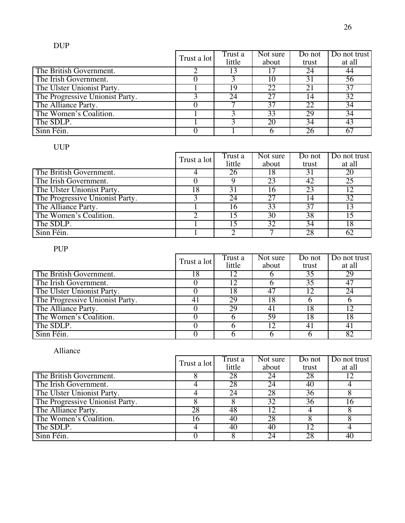|                                 | Trust a lot | Trust a<br>little | Not sure<br>about | Do not<br>trust | Do not trust<br>at all |
|---------------------------------|-------------|-------------------|-------------------|-----------------|------------------------|
| The British Government.         |             |                   |                   | 24              | 44                     |
| The Irish Government.           |             |                   | 10                | 31              | 56                     |
| The Ulster Unionist Party.      |             | 19                | 22                |                 | 37                     |
| The Progressive Unionist Party. |             | 24                | 27                |                 | 32                     |
| The Alliance Party.             |             |                   | 37                | 22              | $\overline{34}$        |
| The Women's Coalition.          |             |                   | 33                | 29              | 34                     |
| The SDLP.                       |             |                   | 20                | 34              | 43                     |
| Sinn Féin.                      |             |                   |                   |                 | 67                     |

|                                 | Trust a lot | Trust a | Not sure | Do not | Do not trust |
|---------------------------------|-------------|---------|----------|--------|--------------|
|                                 |             | little  | about    | trust  | at all       |
| The British Government.         |             | 26      | 18       |        | 20           |
| The Irish Government.           |             |         | 23       | 42     | 25           |
| The Ulster Unionist Party.      | 18          | 31      | 16       | 23     | 12           |
| The Progressive Unionist Party. |             | 24      | 27       |        | 32           |
| The Alliance Party.             |             | 16      | 33       | 37     | 13           |
| The Women's Coalition.          |             |         | 30       | 38     | 15           |
| The SDLP.                       |             | 15      | 32       | 34     | 18           |
| Sinn Féin.                      |             |         |          | 28     | 62           |

PUP

|                                 | Trust a lot | Trust a | Not sure | Do not | Do not trust |
|---------------------------------|-------------|---------|----------|--------|--------------|
|                                 |             | little  | about    | trust  | at all       |
| The British Government.         | 18          | 12      |          | 35     | 29           |
| The Irish Government.           |             | 12      |          | 35     | 47           |
| The Ulster Unionist Party.      |             | 18      | 47       |        | 24           |
| The Progressive Unionist Party. |             | 29      | 18       |        |              |
| The Alliance Party.             |             | 29      | 41       | 18     | 12           |
| The Women's Coalition.          |             |         | 59       | 18     | 18           |
| The SDLP.                       |             |         |          |        |              |
| Sinn Féin.                      |             |         |          |        | 82           |

# Alliance

|                                 | Trust a lot | Trust a | Not sure | Do not | Do not trust |
|---------------------------------|-------------|---------|----------|--------|--------------|
|                                 |             | little  | about    | trust  | at all       |
| The British Government.         |             | 28      | 24       | 28     | 12           |
| The Irish Government.           |             | 28      | 24       | 40     |              |
| The Ulster Unionist Party.      |             | 24      | 28       | 36     |              |
| The Progressive Unionist Party. |             |         | 32       | 36     | 16           |
| The Alliance Party.             | 28          | 48      |          |        |              |
| The Women's Coalition.          | 16          | 40      | 28       |        |              |
| The SDLP.                       |             | 40      | 40       |        |              |
| Sinn Féin.                      |             |         | 24       | 28     | 40           |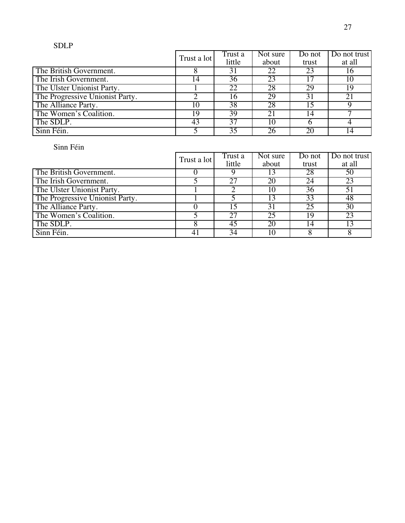## SDLP

|                                 | Trust a lot | Trust a | Not sure | Do not | Do not trust |
|---------------------------------|-------------|---------|----------|--------|--------------|
|                                 |             | little  | about    | trust  | at all       |
| The British Government.         |             | 31      | 22       |        | 16           |
| The Irish Government.           | 14          | 36      | 23       |        | 10           |
| The Ulster Unionist Party.      |             | 22      | 28       | 29     | 19           |
| The Progressive Unionist Party. |             | 16      | 29       | 31     | 21           |
| The Alliance Party.             | 10          | 38      | 28       |        |              |
| The Women's Coalition.          | 19          | 39      | 21       | 4      |              |
| The SDLP.                       | 43          | 37      | 10       |        |              |
| Sinn Féin.                      |             | 35      | 26       | 20     | 14           |

|                                 | Trust a lot | Trust a<br>little | Not sure<br>about | Do not<br>trust | Do not trust<br>at all |
|---------------------------------|-------------|-------------------|-------------------|-----------------|------------------------|
|                                 |             |                   |                   |                 |                        |
| The British Government.         |             |                   |                   | 28              | 50                     |
| The Irish Government.           |             | 27                | 20                | 24              | 23                     |
| The Ulster Unionist Party.      |             |                   | 10                | 36              | 51                     |
| The Progressive Unionist Party. |             |                   |                   | 33              | 48                     |
| The Alliance Party.             |             | 15                | 31                | 25              | 30                     |
| The Women's Coalition.          |             | 27                | 25                | 19              | 23                     |
| The SDLP.                       |             | 45                | 20                | 14              | 13                     |
| Sinn Féin.                      | 41          | 34                |                   |                 |                        |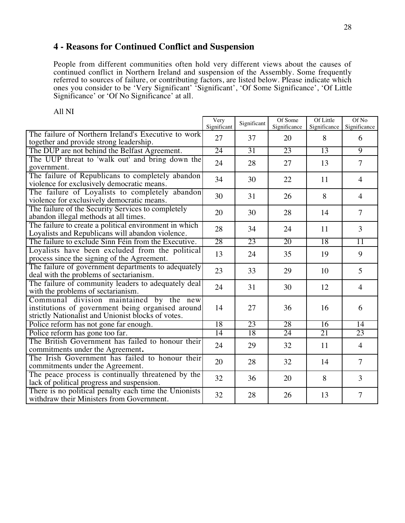## **4 - Reasons for Continued Conflict and Suspension**

People from different communities often hold very different views about the causes of continued conflict in Northern Ireland and suspension of the Assembly. Some frequently referred to sources of failure, or contributing factors, are listed below. Please indicate which ones you consider to be 'Very Significant' 'Significant', 'Of Some Significance', 'Of Little Significance' or 'Of No Significance' at all.

|                                                                                                                                                    | Very<br>Significant | Significant | Of Some<br>Significance | Of Little<br>Significance | Of No<br>Significance |
|----------------------------------------------------------------------------------------------------------------------------------------------------|---------------------|-------------|-------------------------|---------------------------|-----------------------|
| The failure of Northern Ireland's Executive to work                                                                                                | 27                  | 37          | 20                      | 8                         | 6                     |
| together and provide strong leadership.                                                                                                            |                     |             |                         |                           |                       |
| The DUP are not behind the Belfast Agreement.                                                                                                      | 24                  | 31          | 23                      | 13                        | $\overline{9}$        |
| The UUP threat to 'walk out' and bring down the<br>government.                                                                                     | 24                  | 28          | 27                      | 13                        | $\overline{7}$        |
| The failure of Republicans to completely abandon<br>violence for exclusively democratic means.                                                     | 34                  | 30          | 22                      | 11                        | $\overline{4}$        |
| The failure of Loyalists to completely abandon<br>violence for exclusively democratic means.                                                       | 30                  | 31          | 26                      | 8                         | $\overline{4}$        |
| The failure of the Security Services to completely<br>abandon illegal methods at all times.                                                        | 20                  | 30          | 28                      | 14                        | $\overline{7}$        |
| The failure to create a political environment in which<br>Loyalists and Republicans will abandon violence.                                         | 28                  | 34          | 24                      | 11                        | $\overline{3}$        |
| The failure to exclude Sinn Féin from the Executive.                                                                                               | 28                  | 23          | 20                      | 18                        | $\overline{11}$       |
| Loyalists have been excluded from the political<br>process since the signing of the Agreement.                                                     | 13                  | 24          | 35                      | 19                        | 9                     |
| The failure of government departments to adequately<br>deal with the problems of sectarianism.                                                     | 23                  | 33          | 29                      | 10                        | 5                     |
| The failure of community leaders to adequately deal<br>with the problems of sectarianism.                                                          | 24                  | 31          | 30                      | 12                        | $\overline{4}$        |
| Communal division maintained by the new<br>institutions of government being organised around<br>strictly Nationalist and Unionist blocks of votes. | 14                  | 27          | 36                      | 16                        | 6                     |
| Police reform has not gone far enough.                                                                                                             | 18                  | 23          | 28                      | 16                        | $\overline{14}$       |
| Police reform has gone too far.                                                                                                                    | $\overline{14}$     | 18          | 24                      | 21                        | 23                    |
| The British Government has failed to honour their<br>commitments under the Agreement.                                                              | 24                  | 29          | 32                      | 11                        | $\overline{4}$        |
| The Irish Government has failed to honour their<br>commitments under the Agreement.                                                                | 20                  | 28          | 32                      | 14                        | $\overline{7}$        |
| The peace process is continually threatened by the<br>lack of political progress and suspension.                                                   | 32                  | 36          | 20                      | 8                         | 3                     |
| There is no political penalty each time the Unionists<br>withdraw their Ministers from Government.                                                 | 32                  | 28          | 26                      | 13                        | $\overline{7}$        |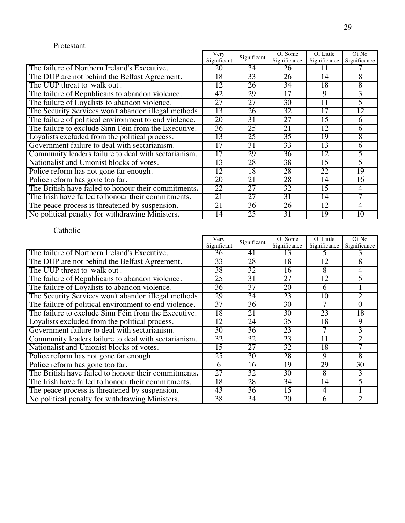#### Protestant

|                                                       | Very            | Significant     | Of Some         | Of Little    | Of No        |
|-------------------------------------------------------|-----------------|-----------------|-----------------|--------------|--------------|
|                                                       | Significant     |                 | Significance    | Significance | Significance |
| The failure of Northern Ireland's Executive.          | 20              | 34              | 26              | Ħ            |              |
| The DUP are not behind the Belfast Agreement.         | 18              | 33              | 26              | 14           | 8            |
| The UUP threat to 'walk out'.                         | 12              | 26              | 34              | 18           | 8            |
| The failure of Republicans to abandon violence.       | 42              | 29              | 17              | 9            | 3            |
| The failure of Loyalists to abandon violence.         | 27              | 27              | 30              | 11           | 5            |
| The Security Services won't abandon illegal methods.  | 13              | 26              | 32              | 17           | 12           |
| The failure of political environment to end violence. | 20              | 31              | 27              | 15           | 6            |
| The failure to exclude Sinn Féin from the Executive.  | $\overline{36}$ | 25              | 21              | 12           | 6            |
| Loyalists excluded from the political process.        | 13              | 25              | $\overline{35}$ | 19           | 8            |
| Government failure to deal with sectarianism.         | 17              | 31              | 33              | 13           | 6            |
| Community leaders failure to deal with sectarianism.  | 17              | 29              | 36              | 12           | 5            |
| Nationalist and Unionist blocks of votes.             | 13              | 28              | 38              | 15           |              |
| Police reform has not gone far enough.                | 12              | 18              | 28              | 22           | 19           |
| Police reform has gone too far.                       | 20              | 21              | 28              | 14           | 16           |
| The British have failed to honour their commitments.  | 22              | $\overline{27}$ | 32              | 15           | 4            |
| The Irish have failed to honour their commitments.    | 21              | 27              | 31              | 14           |              |
| The peace process is threatened by suspension.        | 21              | 36              | 26              | 12           | 4            |
| No political penalty for withdrawing Ministers.       | 14              | 25              | 31              | 19           | 10           |

|                                                       | Very            | Significant | Of Some      | Of Little    | Of No        |
|-------------------------------------------------------|-----------------|-------------|--------------|--------------|--------------|
|                                                       | Significant     |             | Significance | Significance | Significance |
| The failure of Northern Ireland's Executive.          | 36              | 41          | 13           |              |              |
| The DUP are not behind the Belfast Agreement.         | 33              | 28          | 18           | 12           | 8            |
| The UUP threat to 'walk out'.                         | 38              | 32          | 16           | 8            | 4            |
| The failure of Republicans to abandon violence.       | 25              | 31          | 27           | 12           |              |
| The failure of Loyalists to abandon violence.         | 36              | 37          | 20           | 6            |              |
| The Security Services won't abandon illegal methods.  | 29              | 34          | 23           | 10           | 2            |
| The failure of political environment to end violence. | $\overline{37}$ | 36          | 30           |              | 0            |
| The failure to exclude Sinn Féin from the Executive.  | 18              | 21          | 30           | 23           | 18           |
| Loyalists excluded from the political process.        | 12              | 24          | 35           | 18           | 9            |
| Government failure to deal with sectarianism.         | 30              | 36          | 23           |              | 3            |
| Community leaders failure to deal with sectarianism.  | 32              | 32          | 23           | 11           |              |
| Nationalist and Unionist blocks of votes.             | 15              | 27          | 32           | 18           |              |
| Police reform has not gone far enough.                | 25              | 30          | 28           | 9            | 8            |
| Police reform has gone too far.                       | 6               | 16          | 19           | 29           | 30           |
| The British have failed to honour their commitments.  | 27              | 32          | 30           | 8            | 3            |
| The Irish have failed to honour their commitments.    | 18              | 28          | 34           | 14           |              |
| The peace process is threatened by suspension.        | 43              | 36          | 15           | 4            |              |
| No political penalty for withdrawing Ministers.       | 38              | 34          | 20           | 6            | 2            |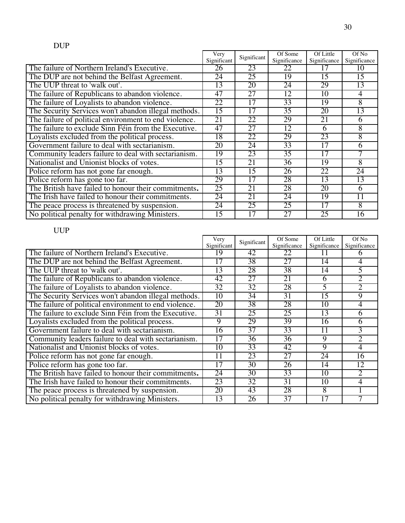|                                                       | Very        | Significant     | Of Some         | Of Little       | Of No        |
|-------------------------------------------------------|-------------|-----------------|-----------------|-----------------|--------------|
|                                                       | Significant |                 | Significance    | Significance    | Significance |
| The failure of Northern Ireland's Executive.          | 26          | 23              | 22              | 17              | 10           |
| The DUP are not behind the Belfast Agreement.         | 24          | 25              | 19              | $\overline{15}$ | 15           |
| The UUP threat to 'walk out'.                         | 13          | 20              | 24              | 29              | 13           |
| The failure of Republicans to abandon violence.       | 47          | 27              | 12              | 10              | 4            |
| The failure of Loyalists to abandon violence.         | 22          | 17              | 33              | 19              | 8            |
| The Security Services won't abandon illegal methods.  | 15          | 17              | 35              | 20              | 13           |
| The failure of political environment to end violence. | 21          | 22              | 29              | 21              | 6            |
| The failure to exclude Sinn Féin from the Executive.  | 47          | 27              | 12              | 6               | 8            |
| Loyalists excluded from the political process.        | 18          | 22              | 29              | 23              | 8            |
| Government failure to deal with sectarianism.         | 20          | 24              | 33              | 17              | h            |
| Community leaders failure to deal with sectarianism.  | 19          | 23              | 35              | 17              |              |
| Nationalist and Unionist blocks of votes.             | 15          | 21              | 36              | 19              | 8            |
| Police reform has not gone far enough.                | 13          | 15              | 26              | 22              | 24           |
| Police reform has gone too far.                       | 29          | 17              | 28              | 13              | 13           |
| The British have failed to honour their commitments.  | 25          | 21              | 28              | 20              | 6            |
| The Irish have failed to honour their commitments.    | 24          | 21              | 24              | 19              | 11           |
| The peace process is threatened by suspension.        | 24          | 25              | 25              | 17              | 8            |
| No political penalty for withdrawing Ministers.       | 15          | $\overline{17}$ | $\overline{27}$ | 25              | 16           |

|                                                       | Very            | Significant     | Of Some         | Of Little       | Of No        |
|-------------------------------------------------------|-----------------|-----------------|-----------------|-----------------|--------------|
|                                                       | Significant     |                 | Significance    | Significance    | Significance |
| The failure of Northern Ireland's Executive.          | ι9              | 42              | 22              | Ħ               | n            |
| The DUP are not behind the Belfast Agreement.         | 17              | 38              | 27              | 14              |              |
| The UUP threat to 'walk out'.                         | 13              | 28              | 38              | 14              |              |
| The failure of Republicans to abandon violence.       | 42              | 27              | 21              | 6               | 2            |
| The failure of Loyalists to abandon violence.         | 32              | 32              | 28              | 5               | 2            |
| The Security Services won't abandon illegal methods.  | 10              | 34              | 31              | $1\overline{5}$ | 9            |
| The failure of political environment to end violence. | 20              | 38              | 28              | 10              | 4            |
| The failure to exclude Sinn Féin from the Executive.  | $\overline{31}$ | 25              | 25              | 13              | 6            |
| Loyalists excluded from the political process.        | 9               | 29              | 39              | 16              | 6            |
| Government failure to deal with sectarianism.         | 16              | $\overline{37}$ | 33              | 11              | 3            |
| Community leaders failure to deal with sectarianism.  | 17              | 36              | 36              | 9               | 2            |
| Nationalist and Unionist blocks of votes.             | 10              | 33              | 42              | $\overline{9}$  | 4            |
| Police reform has not gone far enough.                | 11              | 23              | 27              | 24              | 16           |
| Police reform has gone too far.                       | 17              | 30              | 26              | 14              | 12           |
| The British have failed to honour their commitments.  | 24              | 30              | 33              | 10              | 2            |
| The Irish have failed to honour their commitments.    | 23              | 32              | 31              | 10              |              |
| The peace process is threatened by suspension.        | 20              | 43              | 28              | 8               |              |
| No political penalty for withdrawing Ministers.       | 13              | 26              | $\overline{37}$ | $\overline{17}$ |              |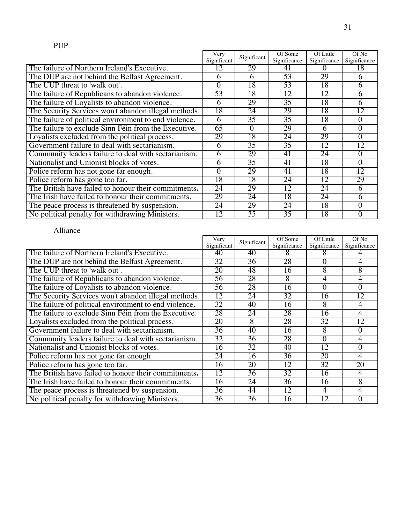|                                                       | Very        | Significant | Of Some      | Of Little    | Of No             |
|-------------------------------------------------------|-------------|-------------|--------------|--------------|-------------------|
|                                                       | Significant |             | Significance | Significance | Significance      |
| The failure of Northern Ireland's Executive.          | 12          | 29          | 41           | $\mathbf{U}$ | 18                |
| The DUP are not behind the Belfast Agreement.         | 6           | 6           | 53           | 29           | h                 |
| The UUP threat to 'walk out'.                         | $\theta$    | 18          | 53           | 18           | 6                 |
| The failure of Republicans to abandon violence.       | 53          | 18          | 12           | 12           | 6                 |
| The failure of Loyalists to abandon violence.         | 6           | 29          | 35           | 18           | h                 |
| The Security Services won't abandon illegal methods.  | 18          | 24          | 29           | 18           | 12                |
| The failure of political environment to end violence. | 6           | 35          | 35           | 18           | 0                 |
| The failure to exclude Sinn Féin from the Executive.  | 65          | $\Omega$    | 29           | 6            | 0                 |
| Loyalists excluded from the political process.        | 29          | 18          | 24           | 29           | 0                 |
| Government failure to deal with sectarianism.         | 6           | 35          | 35           | 12           | 12                |
| Community leaders failure to deal with sectarianism.  | 6           | 29          | 41           | 24           | $\mathbf{\Omega}$ |
| Nationalist and Unionist blocks of votes.             | 6           | 35          | 41           | 18           | 0                 |
| Police reform has not gone far enough.                | 0           | 29          | 41           | 18           | 12                |
| Police reform has gone too far.                       | 18          | 18          | 24           | 12           | 29                |
| The British have failed to honour their commitments.  | 24          | 29          | 12           | 24           | 6                 |
| The Irish have failed to honour their commitments.    | 29          | 24          | 18           | 24           | 6                 |
| The peace process is threatened by suspension.        | 24          | 29          | 24           | 18           | 0                 |
| No political penalty for withdrawing Ministers.       | 12          | 35          | 35           | 18           | 0                 |

# Alliance

|                                                       | Very<br>Significant |                 | Of Some      | Of Little    | Of No        |
|-------------------------------------------------------|---------------------|-----------------|--------------|--------------|--------------|
|                                                       | Significant         |                 | Significance | Significance | Significance |
| The failure of Northern Ireland's Executive.          | 40                  | 40              |              |              |              |
| The DUP are not behind the Belfast Agreement.         | 32                  | 36              | 28           |              | 4            |
| The UUP threat to 'walk out'.                         | 20                  | 48              | 16           | 8            | 8            |
| The failure of Republicans to abandon violence.       | 56                  | 28              | 8            | 4            | 4            |
| The failure of Loyalists to abandon violence.         | 56                  | 28              | 16           | 0            | 0            |
| The Security Services won't abandon illegal methods.  | 12                  | 24              | 32           | 16           | 12           |
| The failure of political environment to end violence. | 32                  | 40              | 16           | 8            | 4            |
| The failure to exclude Sinn Féin from the Executive.  | 28                  | 24              | 28           | 16           | 4            |
| Loyalists excluded from the political process.        | 20                  | 8               | 28           | 32           | 12           |
| Government failure to deal with sectarianism.         | 36                  | 40              | 16           | 8            |              |
| Community leaders failure to deal with sectarianism.  | 32                  | 36              | 28           | $\Omega$     |              |
| Nationalist and Unionist blocks of votes.             | 16                  | $\overline{32}$ | 40           | 12           |              |
| Police reform has not gone far enough.                | 24                  | 16              | 36           | 20           | 4            |
| Police reform has gone too far.                       | 16                  | 20              | 12           | 32           | 20           |
| The British have failed to honour their commitments.  | 12                  | 36              | 32           | 16           | 4            |
| The Irish have failed to honour their commitments.    | 16                  | 24              | 36           | 16           | 8            |
| The peace process is threatened by suspension.        | 36                  | 44              | 12           | 4            | 4            |
| No political penalty for withdrawing Ministers.       | 36                  | 36              | 16           | 12           | 0            |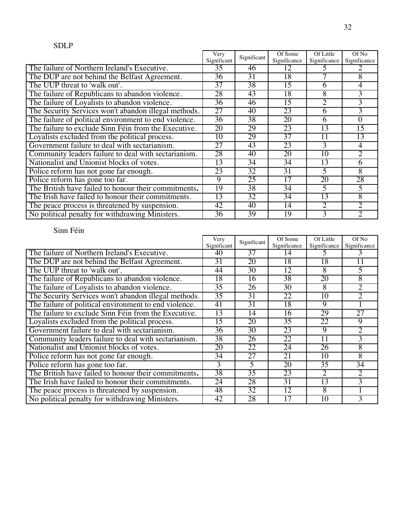|                                                       | Very<br>Significant |    | Of Some      | Of Little       | Of No                       |
|-------------------------------------------------------|---------------------|----|--------------|-----------------|-----------------------------|
|                                                       | Significant         |    | Significance | Significance    | Significance                |
| The failure of Northern Ireland's Executive.          | 35                  | 46 | 12           |                 |                             |
| The DUP are not behind the Belfast Agreement.         | 36                  | 31 | 18           |                 | 8                           |
| The UUP threat to 'walk out'.                         | 37                  | 38 | 15           | 6               | 4                           |
| The failure of Republicans to abandon violence.       | 28                  | 43 | 18           | 8               | 3                           |
| The failure of Loyalists to abandon violence.         | 36                  | 46 | 15           | 2               | 3                           |
| The Security Services won't abandon illegal methods.  | 27                  | 40 | 23           | 6               | 3                           |
| The failure of political environment to end violence. | $\overline{36}$     | 38 | 20           | 6               | 0                           |
| The failure to exclude Sinn Féin from the Executive.  | 20                  | 29 | 23           | 13              | 15                          |
| Loyalists excluded from the political process.        | 10                  | 29 | 37           | 11              | 13                          |
| Government failure to deal with sectarianism.         | 27                  | 43 | 23           | 3               | 4                           |
| Community leaders failure to deal with sectarianism.  | 28                  | 40 | 20           | 10              | 2                           |
| Nationalist and Unionist blocks of votes.             | 13                  | 34 | 34           | 13              | 6                           |
| Police reform has not gone far enough.                | 23                  | 32 | 31           | 5               | 8                           |
| Police reform has gone too far.                       | 9                   | 25 | 17           | 20              | 28                          |
| The British have failed to honour their commitments.  | 19                  | 38 | 34           | 5               |                             |
| The Irish have failed to honour their commitments.    | 13                  | 32 | 34           | $1\overline{3}$ | 8                           |
| The peace process is threatened by suspension.        | 42                  | 40 | 14           | 2               | $\mathcal{D}_{\mathcal{L}}$ |
| No political penalty for withdrawing Ministers.       | 36                  | 39 | 19           | 3               |                             |

|                                                       | Very            | Significant     | Of Some      | Of Little    | Of No           |
|-------------------------------------------------------|-----------------|-----------------|--------------|--------------|-----------------|
|                                                       | Significant     |                 | Significance | Significance | Significance    |
| The failure of Northern Ireland's Executive.          | 40              | 37              | 14           | C.           | 3               |
| The DUP are not behind the Belfast Agreement.         | 31              | 20              | 18           | 18           |                 |
| The UUP threat to 'walk out'.                         | 44              | 30              | 12           | 8            | 5               |
| The failure of Republicans to abandon violence.       | 18              | 16              | 38           | 20           | 8               |
| The failure of Loyalists to abandon violence.         | 35              | 26              | 30           | 8            | 2               |
| The Security Services won't abandon illegal methods.  | $\overline{35}$ | 31              | 22           | 10           | 2.              |
| The failure of political environment to end violence. | 41              | 31              | 18           | 9            |                 |
| The failure to exclude Sinn Féin from the Executive.  | 13              | 14              | 16           | 29           | $\overline{27}$ |
| Loyalists excluded from the political process.        | 15              | 20              | 35           | 22           | 9               |
| Government failure to deal with sectarianism.         | 36              | 30              | 23           | 9            | 2               |
| Community leaders failure to deal with sectarianism.  | 38              | 26              | 22           | 11           | 3               |
| Nationalist and Unionist blocks of votes.             | 20              | 22              | 24           | 26           | 8               |
| Police reform has not gone far enough.                | $\overline{34}$ | $\overline{27}$ | 21           | 10           | 8               |
| Police reform has gone too far.                       | 3               | 5               | 20           | 35           | 34              |
| The British have failed to honour their commitments.  | 38              | $\overline{35}$ | 23           | 2            | 2               |
| The Irish have failed to honour their commitments.    | 24              | 28              | 31           | 13           | 3               |
| The peace process is threatened by suspension.        | 48              | 32              | 12           | 8            |                 |
| No political penalty for withdrawing Ministers.       | 42              | 28              | 17           | 10           | 3               |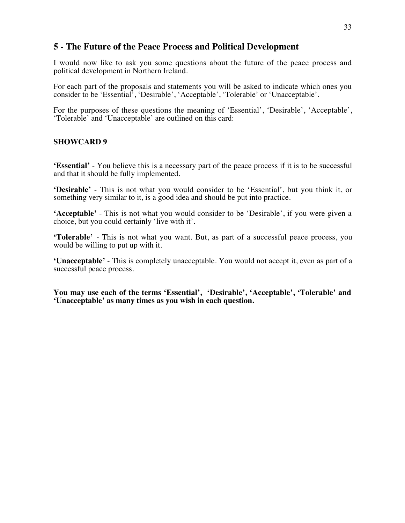## **5 - The Future of the Peace Process and Political Development**

I would now like to ask you some questions about the future of the peace process and political development in Northern Ireland.

For each part of the proposals and statements you will be asked to indicate which ones you consider to be 'Essential', 'Desirable', 'Acceptable', 'Tolerable' or 'Unacceptable'.

For the purposes of these questions the meaning of 'Essential', 'Desirable', 'Acceptable', 'Tolerable' and 'Unacceptable' are outlined on this card:

#### **SHOWCARD 9**

**'Essential'** - You believe this is a necessary part of the peace process if it is to be successful and that it should be fully implemented.

**'Desirable'** - This is not what you would consider to be 'Essential', but you think it, or something very similar to it, is a good idea and should be put into practice.

**'Acceptable'** - This is not what you would consider to be 'Desirable', if you were given a choice, but you could certainly 'live with it'.

**'Tolerable'** - This is not what you want. But, as part of a successful peace process, you would be willing to put up with it.

**'Unacceptable'** - This is completely unacceptable. You would not accept it, even as part of a successful peace process.

**You may use each of the terms 'Essential', 'Desirable', 'Acceptable', 'Tolerable' and 'Unacceptable' as many times as you wish in each question.**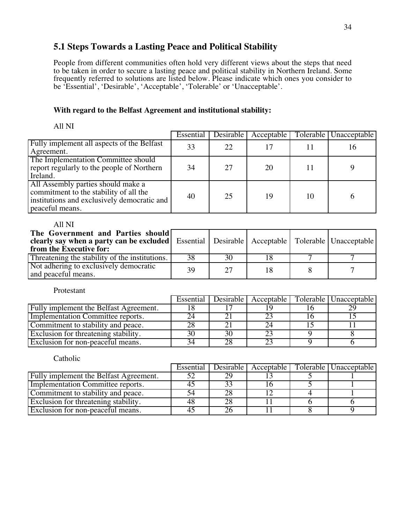## **5.1 Steps Towards a Lasting Peace and Political Stability**

People from different communities often hold very different views about the steps that need to be taken in order to secure a lasting peace and political stability in Northern Ireland. Some frequently referred to solutions are listed below. Please indicate which ones you consider to be 'Essential', 'Desirable', 'Acceptable', 'Tolerable' or 'Unacceptable'.

#### **With regard to the Belfast Agreement and institutional stability:**

All NI

|                                                                                                                                                | Essential | Desirable | Acceptable |    | Tolerable   Unacceptable |
|------------------------------------------------------------------------------------------------------------------------------------------------|-----------|-----------|------------|----|--------------------------|
| Fully implement all aspects of the Belfast<br>Agreement.                                                                                       | 33        | 22        |            |    | 16                       |
| The Implementation Committee should<br>report regularly to the people of Northern<br>Ireland.                                                  | 34        | 27        | 20         | 11 |                          |
| All Assembly parties should make a<br>commitment to the stability of all the<br>institutions and exclusively democratic and<br>peaceful means. | 40        | 25        | 19         | 10 | h                        |

All NI

| The Government and Parties should<br><b>clearly say when a party can be excluded</b> Essential Desirable Acceptable Tolerable Unacceptable<br>from the Executive for: |    |    |  |  |
|-----------------------------------------------------------------------------------------------------------------------------------------------------------------------|----|----|--|--|
| Threatening the stability of the institutions.                                                                                                                        | 38 | 30 |  |  |
| Not adhering to exclusively democratic<br>and peaceful means.                                                                                                         | 39 | 27 |  |  |

Protestant

|                                        | Essential |  | Desirable   Acceptable   Tolerable   Unacceptable |
|----------------------------------------|-----------|--|---------------------------------------------------|
| Fully implement the Belfast Agreement. |           |  |                                                   |
| Implementation Committee reports.      |           |  |                                                   |
| Commitment to stability and peace.     |           |  |                                                   |
| Exclusion for threatening stability.   |           |  |                                                   |
| Exclusion for non-peaceful means.      |           |  |                                                   |

|                                             | Essential | Desirable | Acceptable | Tolerable   Unacceptable |
|---------------------------------------------|-----------|-----------|------------|--------------------------|
| Fully implement the Belfast Agreement.      |           |           |            |                          |
| Implementation Committee reports.           |           |           |            |                          |
| Commitment to stability and peace.          |           |           |            |                          |
| <b>Exclusion</b> for threatening stability. |           |           |            |                          |
| Exclusion for non-peaceful means.           |           |           |            |                          |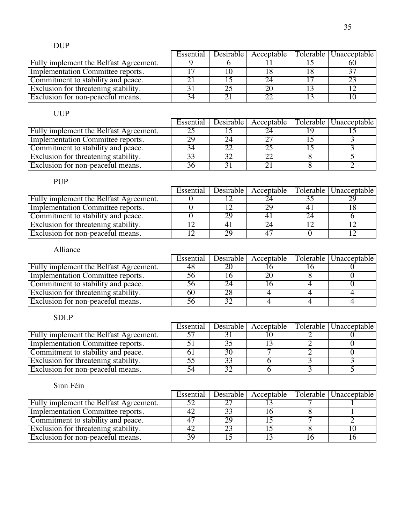## DUP

|                                        |    |  | Essential   Desirable   Acceptable   Tolerable   Unacceptable |
|----------------------------------------|----|--|---------------------------------------------------------------|
| Fully implement the Belfast Agreement. |    |  | NU                                                            |
| Implementation Committee reports.      |    |  |                                                               |
| Commitment to stability and peace.     |    |  |                                                               |
| Exclusion for threatening stability.   |    |  |                                                               |
| Exclusion for non-peaceful means.      | 34 |  |                                                               |

## UUP

|                                             | Essential | Desirable | Acceptable | Tolerable   Unacceptable |
|---------------------------------------------|-----------|-----------|------------|--------------------------|
| Fully implement the Belfast Agreement.      |           |           |            |                          |
| Implementation Committee reports.           | 29        |           |            |                          |
| Commitment to stability and peace.          |           |           |            |                          |
| <b>Exclusion</b> for threatening stability. |           |           |            |                          |
| <b>Exclusion</b> for non-peaceful means.    |           |           |            |                          |

## PUP

|                                        | Essential |    | Desirable   Acceptable | Tolerable   Unacceptable |
|----------------------------------------|-----------|----|------------------------|--------------------------|
| Fully implement the Belfast Agreement. |           |    |                        |                          |
| Implementation Committee reports.      |           |    | 29                     |                          |
| Commitment to stability and peace.     |           |    |                        |                          |
| Exclusion for threatening stability.   |           |    |                        |                          |
| Exclusion for non-peaceful means.      |           | 29 |                        |                          |

## Alliance

|                                        | Essential |  | Desirable   Acceptable   Tolerable   Unacceptable |
|----------------------------------------|-----------|--|---------------------------------------------------|
| Fully implement the Belfast Agreement. | 48        |  |                                                   |
| Implementation Committee reports.      |           |  |                                                   |
| Commitment to stability and peace.     |           |  |                                                   |
| Exclusion for threatening stability.   | 60        |  |                                                   |
| Exclusion for non-peaceful means.      |           |  |                                                   |

## SDLP

|                                        |  |  | Essential   Desirable   Acceptable   Tolerable   Unacceptable |
|----------------------------------------|--|--|---------------------------------------------------------------|
| Fully implement the Belfast Agreement. |  |  |                                                               |
| Implementation Committee reports.      |  |  |                                                               |
| Commitment to stability and peace.     |  |  |                                                               |
| Exclusion for threatening stability.   |  |  |                                                               |
| Exclusion for non-peaceful means.      |  |  |                                                               |

|                                             | Essential | Desirable l |  | Acceptable   Tolerable   Unacceptable |
|---------------------------------------------|-----------|-------------|--|---------------------------------------|
| Fully implement the Belfast Agreement.      |           |             |  |                                       |
| Implementation Committee reports.           |           |             |  |                                       |
| Commitment to stability and peace.          |           |             |  |                                       |
| <b>Exclusion</b> for threatening stability. |           |             |  |                                       |
| <b>Exclusion</b> for non-peaceful means.    | 30        |             |  |                                       |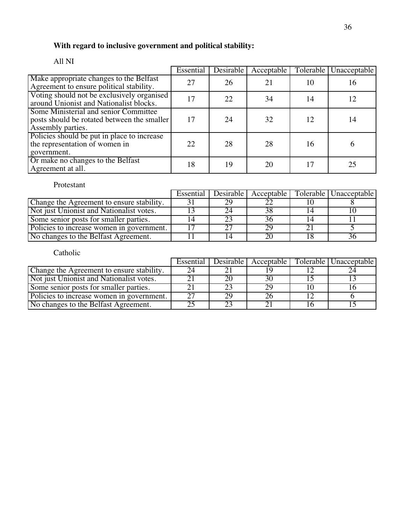# **With regard to inclusive government and political stability:**

|                                                                                                           | Essential | Desirable | Acceptable | Tolerable | Unacceptable |
|-----------------------------------------------------------------------------------------------------------|-----------|-----------|------------|-----------|--------------|
| Make appropriate changes to the Belfast<br>Agreement to ensure political stability.                       | 27        | 26        | 21         | 10        | 16           |
| Voting should not be exclusively organised<br>around Unionist and Nationalist blocks.                     | 17        | 22        | 34         | 14        | 12           |
| Some Ministerial and senior Committee<br>posts should be rotated between the smaller<br>Assembly parties. | 17        | 24        | 32         | 12        | 14           |
| Policies should be put in place to increase<br>the representation of women in<br>government.              | 22        | 28        | 28         | 16        |              |
| Or make no changes to the Belfast<br>Agreement at all.                                                    | 18        | 19        | 20         | 17        | 25           |

#### All NI

## Protestant

|                                           | Essential | Desirable | Acceptable | Tolerable   Unacceptable |
|-------------------------------------------|-----------|-----------|------------|--------------------------|
| Change the Agreement to ensure stability. |           |           |            |                          |
| Not just Unionist and Nationalist votes.  |           |           | 38         |                          |
| Some senior posts for smaller parties.    |           |           |            |                          |
| Policies to increase women in government. |           |           |            |                          |
| No changes to the Belfast Agreement.      |           |           |            |                          |

|                                           | Essential | Desirable | Acceptable | Tolerable   Unacceptable |
|-------------------------------------------|-----------|-----------|------------|--------------------------|
| Change the Agreement to ensure stability. |           |           |            |                          |
| Not just Unionist and Nationalist votes.  |           |           | 30         |                          |
| Some senior posts for smaller parties.    |           |           | 29         |                          |
| Policies to increase women in government. |           |           |            |                          |
| No changes to the Belfast Agreement.      |           |           |            |                          |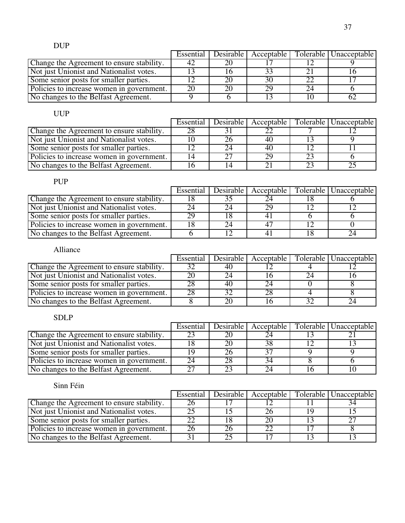|                                           | Essential | Desirable | Acceptable |    | Tolerable   Unacceptable |
|-------------------------------------------|-----------|-----------|------------|----|--------------------------|
| Change the Agreement to ensure stability. | 42        |           |            |    |                          |
| Not just Unionist and Nationalist votes.  |           |           |            |    |                          |
| Some senior posts for smaller parties.    |           |           |            | 22 |                          |
| Policies to increase women in government. | 20        |           |            | 24 |                          |
| No changes to the Belfast Agreement.      |           |           |            |    |                          |

|                                           | Essential | Desirable | Acceptable | Tolerable   Unacceptable |
|-------------------------------------------|-----------|-----------|------------|--------------------------|
| Change the Agreement to ensure stability. |           |           |            |                          |
| Not just Unionist and Nationalist votes.  |           |           |            |                          |
| Some senior posts for smaller parties.    |           |           |            |                          |
| Policies to increase women in government. |           |           |            |                          |
| No changes to the Belfast Agreement.      |           |           |            |                          |

## PUP

|                                           | Essential | Desirable |  | Acceptable   Tolerable   Unacceptable |
|-------------------------------------------|-----------|-----------|--|---------------------------------------|
| Change the Agreement to ensure stability. |           |           |  |                                       |
| Not just Unionist and Nationalist votes.  |           |           |  |                                       |
| Some senior posts for smaller parties.    |           |           |  |                                       |
| Policies to increase women in government. |           |           |  |                                       |
| No changes to the Belfast Agreement.      |           |           |  |                                       |

## Alliance

|                                           | Essential | Desirable l | Acceptable | Tolerable   Unacceptable |
|-------------------------------------------|-----------|-------------|------------|--------------------------|
| Change the Agreement to ensure stability. |           | 4U          |            |                          |
| Not just Unionist and Nationalist votes.  |           |             |            |                          |
| Some senior posts for smaller parties.    |           | 40          | 74         |                          |
| Policies to increase women in government. |           |             |            |                          |
| No changes to the Belfast Agreement.      |           |             |            |                          |

## SDLP

|                                           | Essential |  | Desirable   Acceptable   Tolerable   Unacceptable |
|-------------------------------------------|-----------|--|---------------------------------------------------|
| Change the Agreement to ensure stability. |           |  |                                                   |
| Not just Unionist and Nationalist votes.  |           |  |                                                   |
| Some senior posts for smaller parties.    |           |  |                                                   |
| Policies to increase women in government. |           |  |                                                   |
| No changes to the Belfast Agreement.      |           |  |                                                   |

|                                           | Essential | Desirable I |  | Acceptable   Tolerable   Unacceptable |
|-------------------------------------------|-----------|-------------|--|---------------------------------------|
| Change the Agreement to ensure stability. |           |             |  |                                       |
| Not just Unionist and Nationalist votes.  |           |             |  |                                       |
| Some senior posts for smaller parties.    |           |             |  |                                       |
| Policies to increase women in government. |           |             |  |                                       |
| No changes to the Belfast Agreement.      |           |             |  |                                       |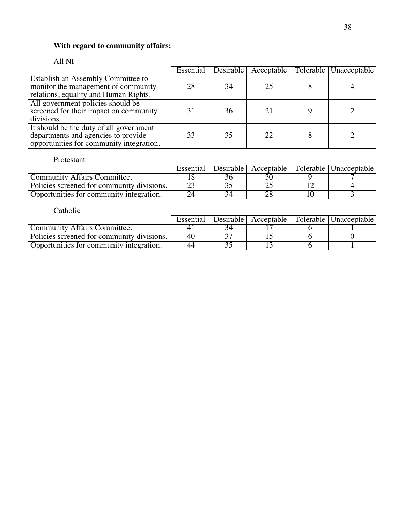## **With regard to community affairs:**

## All NI

|                                                                                                                            |    | Essential Desirable | Acceptable | Tolerable Unacceptable |
|----------------------------------------------------------------------------------------------------------------------------|----|---------------------|------------|------------------------|
| <b>Establish an Assembly Committee to</b><br>monitor the management of community<br>relations, equality and Human Rights.  | 28 | 34                  | 25         |                        |
| All government policies should be<br>screened for their impact on community<br>divisions.                                  | 31 | 36                  |            |                        |
| It should be the duty of all government<br>departments and agencies to provide<br>opportunities for community integration. | 33 | 35                  | 22         |                        |

Protestant

|                                            | Essential | Desirable I | Acceptable I | Tolerable   Unacceptable |
|--------------------------------------------|-----------|-------------|--------------|--------------------------|
| Community Affairs Committee.               |           |             |              |                          |
| Policies screened for community divisions. |           |             |              |                          |
| Opportunities for community integration.   |           |             |              |                          |

|                                            | Essential |  | Desirable Acceptable   Tolerable   Unacceptable |
|--------------------------------------------|-----------|--|-------------------------------------------------|
| Community Affairs Committee.               |           |  |                                                 |
| Policies screened for community divisions. | -40       |  |                                                 |
| Opportunities for community integration.   | 44        |  |                                                 |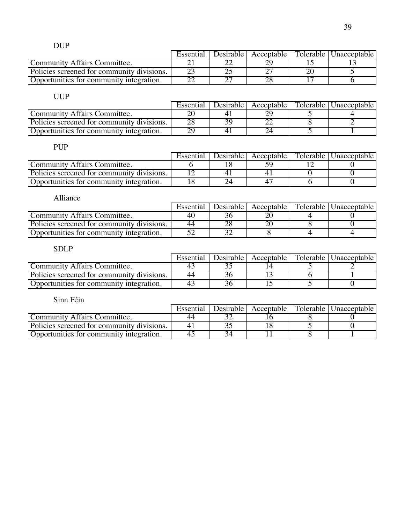DUP

|                                            | Essential | Desirable | Acceptable | Tolerable | Unacceptable |
|--------------------------------------------|-----------|-----------|------------|-----------|--------------|
| <b>Community Affairs Committee.</b>        |           | ∠∠        |            |           |              |
| Policies screened for community divisions. |           | ∼         |            |           |              |
| Opportunities for community integration.   |           | ~~        |            |           |              |

## UUP

|                                            | Essential | Desirable I | Acceptable I | Tolerable L | Unacceptable |
|--------------------------------------------|-----------|-------------|--------------|-------------|--------------|
| Community Affairs Committee.               |           |             |              |             |              |
| Policies screened for community divisions. |           |             |              |             |              |
| Opportunities for community integration.   |           |             |              |             |              |

## PUP

|                                            | Essential | Desirable I | Acceptable | Tolerable   Unacceptable |
|--------------------------------------------|-----------|-------------|------------|--------------------------|
| Community Affairs Committee.               |           |             |            |                          |
| Policies screened for community divisions. |           |             |            |                          |
| Opportunities for community integration.   |           |             |            |                          |

| Alliance                                   |           |                        |                          |
|--------------------------------------------|-----------|------------------------|--------------------------|
|                                            | Essential | Desirable   Acceptable | Tolerable   Unacceptable |
| Community Affairs Committee.               | 40        |                        |                          |
| Policies screened for community divisions. | 44        |                        |                          |
| Opportunities for community integration.   |           |                        |                          |

## SDLP

|                                            | Essential      | Desirable I | Acceptable | Tolerable   Unacceptable |
|--------------------------------------------|----------------|-------------|------------|--------------------------|
| Community Affairs Committee.               | $\overline{4}$ |             |            |                          |
| Policies screened for community divisions. | 44             |             |            |                          |
| Opportunities for community integration.   | 4              |             |            |                          |

|                                            | Essential | Desirable L | Acceptable I | Tolerable   Unacceptable |
|--------------------------------------------|-----------|-------------|--------------|--------------------------|
| Community Affairs Committee.               |           |             |              |                          |
| Policies screened for community divisions. |           |             |              |                          |
| Opportunities for community integration.   |           |             |              |                          |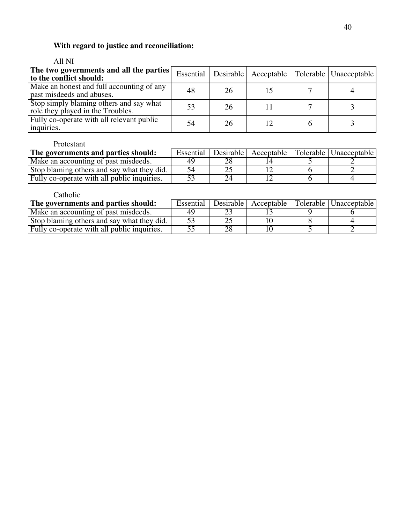# **With regard to justice and reconciliation:**

## All NI

| The two governments and all the parties<br>to the conflict should:           |    |    |  | Essential   Desirable   Acceptable   Tolerable   Unacceptable |
|------------------------------------------------------------------------------|----|----|--|---------------------------------------------------------------|
| Make an honest and full accounting of any<br>past misdeeds and abuses.       | 48 | 26 |  |                                                               |
| Stop simply blaming others and say what<br>role they played in the Troubles. | 53 | 26 |  |                                                               |
| Fully co-operate with all relevant public<br>inquiries.                      | 54 | 26 |  |                                                               |

#### Protestant

| The governments and parties should:         | Essential |  | Desirable   Acceptable   Tolerable   Unacceptable |
|---------------------------------------------|-----------|--|---------------------------------------------------|
| Make an accounting of past misdeeds.        |           |  |                                                   |
| Stop blaming others and say what they did.  |           |  |                                                   |
| Fully co-operate with all public inquiries. |           |  |                                                   |

| The governments and parties should:         | Essential |  | Desirable   Acceptable   Tolerable   Unacceptable |
|---------------------------------------------|-----------|--|---------------------------------------------------|
| Make an accounting of past misdeeds.        |           |  |                                                   |
| Stop blaming others and say what they did.  |           |  |                                                   |
| Fully co-operate with all public inquiries. |           |  |                                                   |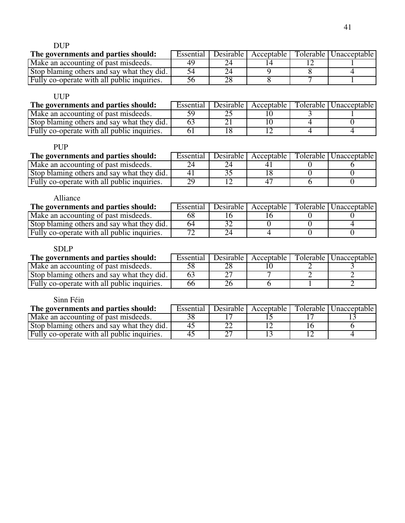DUP

| The governments and parties should:         | Essential | Desirable   Acceptable | Tolerable   Unacceptable |
|---------------------------------------------|-----------|------------------------|--------------------------|
| Make an accounting of past misdeeds.        |           |                        |                          |
| Stop blaming others and say what they did.  |           |                        |                          |
| Fully co-operate with all public inquiries. |           |                        |                          |

## UUP

| The governments and parties should:         | Essential | Desirable I | Acceptable | Tolerable   Unacceptable |
|---------------------------------------------|-----------|-------------|------------|--------------------------|
| Make an accounting of past misdeeds.        |           |             |            |                          |
| Stop blaming others and say what they did.  |           |             |            |                          |
| Fully co-operate with all public inquiries. |           |             |            |                          |

## PUP

| The governments and parties should:         | Essential | Desirable I | Acceptable | Tolerable   Unacceptable |
|---------------------------------------------|-----------|-------------|------------|--------------------------|
| Make an accounting of past misdeeds.        |           |             |            |                          |
| Stop blaming others and say what they did.  |           |             |            |                          |
| Fully co-operate with all public inquiries. |           |             |            |                          |

## Alliance

| The governments and parties should:         | Essential |  | Desirable   Acceptable   Tolerable   Unacceptable |
|---------------------------------------------|-----------|--|---------------------------------------------------|
| Make an accounting of past misdeeds.        |           |  |                                                   |
| Stop blaming others and say what they did.  | 64        |  |                                                   |
| Fully co-operate with all public inquiries. |           |  |                                                   |

## SDLP

| The governments and parties should:         | Essential |  | Desirable   Acceptable   Tolerable   Unacceptable |
|---------------------------------------------|-----------|--|---------------------------------------------------|
| Make an accounting of past misdeeds.        |           |  |                                                   |
| Stop blaming others and say what they did.  |           |  |                                                   |
| Fully co-operate with all public inquiries. |           |  |                                                   |

| The governments and parties should:         | Essential | Desirable L | Acceptable | Tolerable   Unacceptable |
|---------------------------------------------|-----------|-------------|------------|--------------------------|
| Make an accounting of past misdeeds.        |           |             |            |                          |
| Stop blaming others and say what they did.  |           |             |            |                          |
| Fully co-operate with all public inquiries. |           |             |            |                          |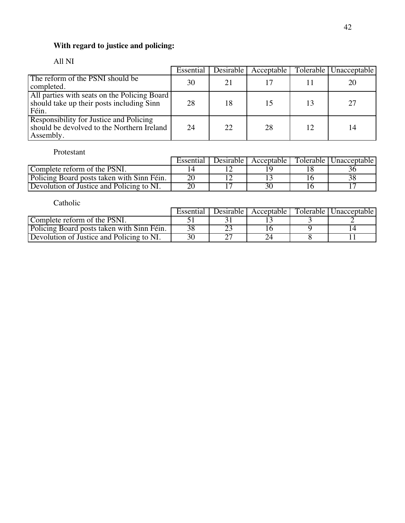## **With regard to justice and policing:**

## All NI

|                                                                                                    | Essential | <b>Desirable</b> | Acceptable |    | Tolerable   Unacceptable |
|----------------------------------------------------------------------------------------------------|-----------|------------------|------------|----|--------------------------|
| The reform of the PSNI should be<br>completed.                                                     | 30        | 21               |            |    | 20                       |
| All parties with seats on the Policing Board<br>should take up their posts including Sinn<br>Féin. | 28        | 18               | 15         | 13 | 27                       |
| Responsibility for Justice and Policing<br>should be devolved to the Northern Ireland<br>Assembly. | 24        | 22               | 28         | 12 | 14                       |

## Protestant

|                                            | Essential | Desirable I | Acceptable | Tolerable   Unacceptable |
|--------------------------------------------|-----------|-------------|------------|--------------------------|
| Complete reform of the PSNI.               |           |             |            |                          |
| Policing Board posts taken with Sinn Féin. |           |             |            |                          |
| Devolution of Justice and Policing to NI.  |           |             |            |                          |

|                                            | Essential | Desirable I | Acceptable | Tolerable   Unacceptable |
|--------------------------------------------|-----------|-------------|------------|--------------------------|
| Complete reform of the PSNI.               |           |             |            |                          |
| Policing Board posts taken with Sinn Féin. |           |             |            |                          |
| Devolution of Justice and Policing to NI.  |           |             |            |                          |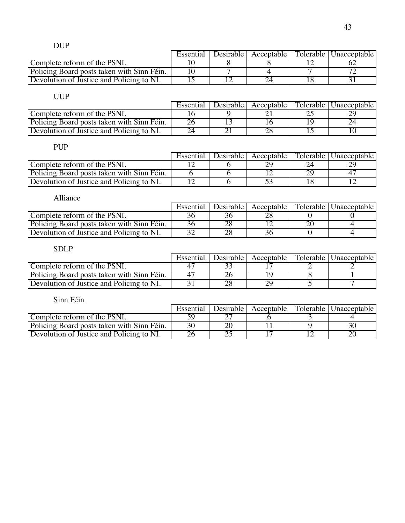|                                            | Essential | Desirable | Acceptable | Tolerable   Unacceptable |
|--------------------------------------------|-----------|-----------|------------|--------------------------|
| Complete reform of the PSNI.               |           |           |            |                          |
| Policing Board posts taken with Sinn Féin. |           |           |            |                          |
| Devolution of Justice and Policing to NI.  |           |           |            |                          |

|                                            | Essential | Desirable L | Acceptable I | Tolerable   Unacceptable |
|--------------------------------------------|-----------|-------------|--------------|--------------------------|
| Complete reform of the PSNI.               |           |             |              |                          |
| Policing Board posts taken with Sinn Féin. |           |             |              |                          |
| Devolution of Justice and Policing to NI.  |           |             |              |                          |

## PUP

|                                            | Essential | Desirable |    | Acceptable   Tolerable   Unacceptable |
|--------------------------------------------|-----------|-----------|----|---------------------------------------|
| Complete reform of the PSNI.               |           |           |    |                                       |
| Policing Board posts taken with Sinn Féin. |           |           | 29 |                                       |
| Devolution of Justice and Policing to NI.  |           |           |    |                                       |

| Alliance                                   |           |                        |                          |
|--------------------------------------------|-----------|------------------------|--------------------------|
|                                            | Essential | Desirable   Acceptable | Tolerable   Unacceptable |
| Complete reform of the PSNI.               |           |                        |                          |
| Policing Board posts taken with Sinn Féin. | 36        |                        |                          |
| Devolution of Justice and Policing to NI.  |           |                        |                          |

## SDLP

|                                            | Essential | Desirable   Acceptable | Tolerable   Unacceptable |
|--------------------------------------------|-----------|------------------------|--------------------------|
| Complete reform of the PSNI.               |           |                        |                          |
| Policing Board posts taken with Sinn Féin. |           |                        |                          |
| Devolution of Justice and Policing to NI.  |           |                        |                          |

|                                            | Essential | Desirable | Acceptable I | Tolerable   Unacceptable |
|--------------------------------------------|-----------|-----------|--------------|--------------------------|
| Complete reform of the PSNI.               |           |           |              |                          |
| Policing Board posts taken with Sinn Féin. |           |           |              |                          |
| Devolution of Justice and Policing to NI.  |           |           |              |                          |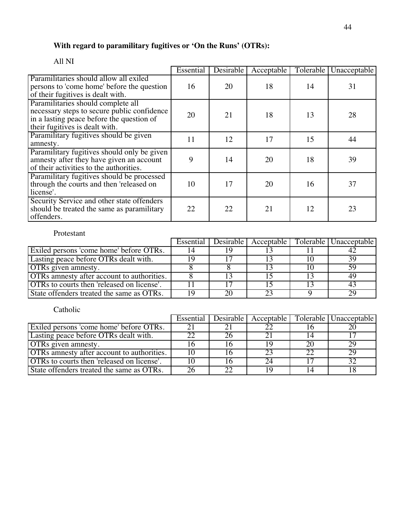#### **With regard to paramilitary fugitives or 'On the Runs' (OTRs):**

#### Essential Desirable Acceptable Tolerable Unacceptable Paramilitaries should allow all exiled persons to 'come home' before the question of their fugitives is dealt with. 16 20 18 14 31 Paramilitaries should complete all necessary steps to secure public confidence in a lasting peace before the question of their fugitives is dealt with. 20 21 18 13 28 Paramilitary fugitives should be given  $\frac{1}{2}$  and  $\frac{1}{2}$  17 15 44 amnesty. Paramilitary fugitives should only be given amnesty after they have given an account of their activities to the authorities. 9 14 20 18 39 Paramilitary fugitives should be processed through the courts and then 'released on license'. 10 17 20 16 37 Security Service and other state offenders should be treated the same as paramilitary offenders. 22 22 21 12 23

#### All NI

#### Protestant

|                                            | Essential | Desirable | Acceptable | Tolerable   Unacceptable |
|--------------------------------------------|-----------|-----------|------------|--------------------------|
| Exiled persons 'come home' before OTRs.    |           |           |            |                          |
| Lasting peace before OTRs dealt with.      |           |           |            | 39                       |
| <b>OTRs</b> given amnesty.                 |           |           |            |                          |
| OTRs amnesty after account to authorities. |           |           |            |                          |
| OTRs to courts then 'released on license'. |           |           |            |                          |
| State offenders treated the same as OTRs.  |           |           | າາ         | 29                       |

|                                                   | Essential | Desirable | Acceptable |                | Tolerable   Unacceptable |
|---------------------------------------------------|-----------|-----------|------------|----------------|--------------------------|
| Exiled persons come home before OTRs.             |           |           |            |                |                          |
| Lasting peace before OTRs dealt with.             |           |           |            |                |                          |
| <b>OTRs</b> given amnesty.                        |           |           | ιo         | 2 <sup>c</sup> | 29                       |
| <b>OTRs</b> amnesty after account to authorities. |           |           |            |                | 29.                      |
| <b>OTRs</b> to courts then 'released on license'. |           |           | 24         |                | 32                       |
| State offenders treated the same as OTRs.         |           | 22        | 1 ()       |                |                          |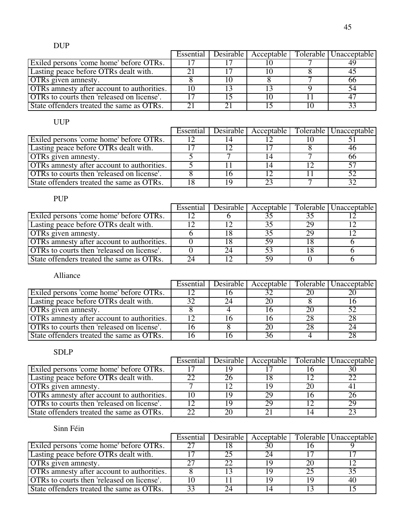|                                                   |  |  | Essential   Desirable   Acceptable   Tolerable   Unacceptable |
|---------------------------------------------------|--|--|---------------------------------------------------------------|
| Exiled persons 'come home' before OTRs.           |  |  |                                                               |
| Lasting peace before OTRs dealt with.             |  |  |                                                               |
| <b>OTRs</b> given amnesty.                        |  |  | 66                                                            |
| <b>OTRs</b> amnesty after account to authorities. |  |  |                                                               |
| OTRs to courts then 'released on license'.        |  |  |                                                               |
| State offenders treated the same as OTRs.         |  |  |                                                               |

|                                            |  |    | Essential Desirable Acceptable Tolerable Unacceptable |
|--------------------------------------------|--|----|-------------------------------------------------------|
| Exiled persons 'come home' before OTRs.    |  |    |                                                       |
| Lasting peace before OTRs dealt with.      |  |    |                                                       |
| <b>OTRs</b> given amnesty.                 |  |    | 00                                                    |
| OTRs amnesty after account to authorities. |  |    | 57                                                    |
| OTRs to courts then released on license'.  |  |    | 52                                                    |
| State offenders treated the same as OTRs.  |  | າາ | 20                                                    |

## PUP

|                                                   | Essential | Desirable   Acceptable |    | Tolerable   Unacceptable |
|---------------------------------------------------|-----------|------------------------|----|--------------------------|
| Exiled persons 'come home' before OTRs.           |           |                        |    |                          |
| Lasting peace before OTRs dealt with.             |           | つく                     | 29 |                          |
| <b>OTRs</b> given amnesty.                        |           |                        | 29 |                          |
| <b>OTRs</b> amnesty after account to authorities. |           |                        |    |                          |
| <b>OTRs</b> to courts then 'released on license'. |           |                        |    |                          |
| State offenders treated the same as OTRs.         |           |                        |    |                          |

## Alliance

|                                                   | Essential | Desirable | Acceptable |    | Tolerable   Unacceptable |
|---------------------------------------------------|-----------|-----------|------------|----|--------------------------|
| Exiled persons come home before OTRs.             |           |           |            | 20 |                          |
| Lasting peace before OTRs dealt with.             |           |           | 20         |    |                          |
| <b>OTRs</b> given amnesty.                        |           |           |            | 20 |                          |
| <b>OTRs</b> amnesty after account to authorities. |           |           |            |    |                          |
| <b>OTRs</b> to courts then 'released on license'. |           |           | 20         | 28 |                          |
| State offenders treated the same as OTRs.         |           |           |            |    |                          |

## SDLP

|                                                   | Essential |    |    | Desirable   Acceptable   Tolerable   Unacceptable |
|---------------------------------------------------|-----------|----|----|---------------------------------------------------|
| Exiled persons 'come home' before OTRs.           |           |    |    |                                                   |
| Lasting peace before OTRs dealt with.             |           |    |    |                                                   |
| <b>OTRs</b> given amnesty.                        |           |    | 20 |                                                   |
| <b>OTRs</b> amnesty after account to authorities. | 10        | 29 |    |                                                   |
| <b>OTRs</b> to courts then 'released on license'. |           | 29 |    | 20                                                |
| State offenders treated the same as OTRs.         | າາ        |    |    |                                                   |

|                                                   |  |    |     | Essential   Desirable   Acceptable   Tolerable   Unacceptable |
|---------------------------------------------------|--|----|-----|---------------------------------------------------------------|
| Exiled persons 'come home' before OTRs.           |  | 30 |     |                                                               |
| Lasting peace before OTRs dealt with.             |  | 94 |     |                                                               |
| <b>OTRs</b> given amnesty.                        |  |    | 20  |                                                               |
| <b>OTRs</b> amnesty after account to authorities. |  |    | 25  |                                                               |
| OTRs to courts then 'released on license'.        |  |    | 1 Y | 40                                                            |
| State offenders treated the same as OTRs.         |  |    |     |                                                               |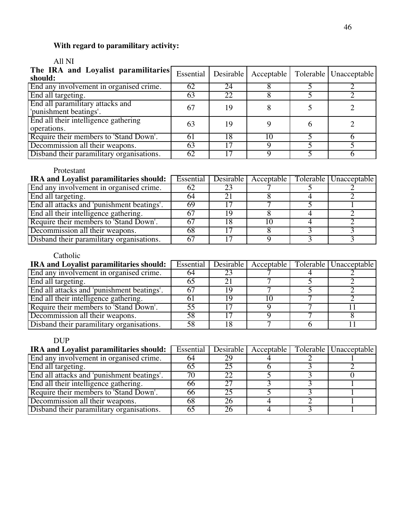# **With regard to paramilitary activity:**

## All NI

| The IRA and Loyalist paramilitaries<br>should:             | Essential | <b>Desirable</b> |    | Acceptable   Tolerable   Unacceptable |
|------------------------------------------------------------|-----------|------------------|----|---------------------------------------|
| End any involvement in organised crime.                    | 62        | 24               |    |                                       |
| End all targeting.                                         | 63        | 22               |    |                                       |
| End all paramilitary attacks and<br>'punishment beatings'. | 67        | 19               |    |                                       |
| End all their intelligence gathering<br>operations.        | 63        | 19               |    |                                       |
| Require their members to 'Stand Down'.                     | -61       | 18               | 10 |                                       |
| Decommission all their weapons.                            | 63        |                  |    |                                       |
| Disband their paramilitary organisations.                  | 62        |                  |    |                                       |

#### Protestant

| IRA and Loyalist paramilitaries should:    | Essential |  | Desirable Acceptable Tolerable Unacceptable |
|--------------------------------------------|-----------|--|---------------------------------------------|
| End any involvement in organised crime.    |           |  |                                             |
| End all targeting.                         |           |  |                                             |
| End all attacks and 'punishment beatings'. | 69        |  |                                             |
| End all their intelligence gathering.      |           |  |                                             |
| Require their members to 'Stand Down'.     |           |  |                                             |
| Decommission all their weapons.            | 68        |  |                                             |
| Disband their paramilitary organisations.  |           |  |                                             |

## Catholic

| IRA and Loyalist paramilitaries should:    | Essential |    |  | Desirable   Acceptable   Tolerable   Unacceptable |
|--------------------------------------------|-----------|----|--|---------------------------------------------------|
| End any involvement in organised crime.    | 64        |    |  |                                                   |
| End all targeting.                         | n.        |    |  |                                                   |
| End all attacks and 'punishment beatings'. |           | 19 |  |                                                   |
| End all their intelligence gathering.      |           | ιo |  |                                                   |
| Require their members to 'Stand Down'.     | 55        |    |  |                                                   |
| Decommission all their weapons.            | 58        |    |  |                                                   |
| Disband their paramilitary organisations.  |           |    |  |                                                   |

## DUP

| IRA and Loyalist paramilitaries should:    |    |    |  | Essential   Desirable   Acceptable   Tolerable   Unacceptable |
|--------------------------------------------|----|----|--|---------------------------------------------------------------|
| End any involvement in organised crime.    | 64 |    |  |                                                               |
| End all targeting.                         |    |    |  |                                                               |
| End all attacks and 'punishment beatings'. |    |    |  |                                                               |
| End all their intelligence gathering.      | 66 |    |  |                                                               |
| Require their members to 'Stand Down'.     | 66 | 25 |  |                                                               |
| Decommission all their weapons.            | 68 |    |  |                                                               |
| Disband their paramilitary organisations.  | 65 |    |  |                                                               |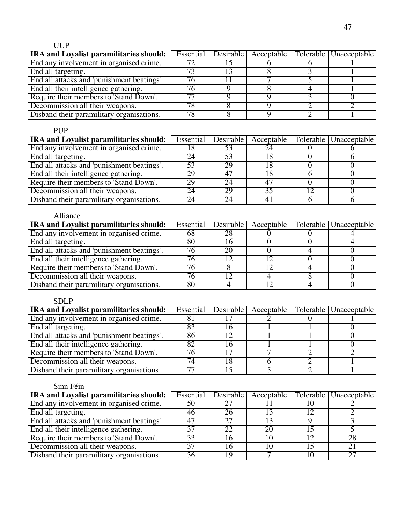| <b>IRA and Loyalist paramilitaries should:</b> | Essential |  | Desirable   Acceptable   Tolerable   Unacceptable |
|------------------------------------------------|-----------|--|---------------------------------------------------|
| End any involvement in organised crime.        |           |  |                                                   |
| End all targeting.                             |           |  |                                                   |
| End all attacks and 'punishment beatings'.     | 76        |  |                                                   |
| End all their intelligence gathering.          |           |  |                                                   |
| Require their members to 'Stand Down'.         |           |  |                                                   |
| Decommission all their weapons.                | 78        |  |                                                   |
| Disband their paramilitary organisations.      | 78        |  |                                                   |

## PUP

| <b>IRA and Loyalist paramilitaries should:</b> | Essential | <b>Desirable</b> | Acceptable | Tolerable   Unacceptable |
|------------------------------------------------|-----------|------------------|------------|--------------------------|
| End any involvement in organised crime.        |           |                  |            |                          |
| End all targeting.                             |           |                  |            |                          |
| End all attacks and 'punishment beatings'.     | 53        | 29               |            |                          |
| End all their intelligence gathering.          | 29        | 4 <sup>7</sup>   |            |                          |
| Require their members to 'Stand Down'.         | 29        |                  |            |                          |
| Decommission all their weapons.                |           | 29               | 35         |                          |
| Disband their paramilitary organisations.      | 24        | $2\pi$           |            |                          |

## Alliance

| <b>IRA and Loyalist paramilitaries should:</b> | Essential |    | Desirable   Acceptable | Tolerable   Unacceptable |
|------------------------------------------------|-----------|----|------------------------|--------------------------|
| End any involvement in organised crime.        | 68        |    |                        |                          |
| End all targeting.                             | 80        |    |                        |                          |
| End all attacks and 'punishment beatings'.     |           | 20 |                        |                          |
| End all their intelligence gathering.          |           |    |                        |                          |
| Require their members to 'Stand Down'.         |           |    |                        |                          |
| Decommission all their weapons.                |           |    |                        |                          |
| Disband their paramilitary organisations.      | 80        |    |                        |                          |

## SDLP

| <b>IRA and Loyalist paramilitaries should:</b> | Essential              |  | Desirable   Acceptable   Tolerable   Unacceptable |
|------------------------------------------------|------------------------|--|---------------------------------------------------|
| End any involvement in organised crime.        |                        |  |                                                   |
| End all targeting.                             |                        |  |                                                   |
| End all attacks and 'punishment beatings'.     | 86                     |  |                                                   |
| End all their intelligence gathering.          |                        |  |                                                   |
| Require their members to 'Stand Down'.         | 76                     |  |                                                   |
| Decommission all their weapons.                | 74                     |  |                                                   |
| Disband their paramilitary organisations.      | $\mathcal{T}^{\prime}$ |  |                                                   |

| <b>IRA and Loyalist paramilitaries should:</b> | Essential | Desirable | Acceptable |    | Tolerable   Unacceptable |
|------------------------------------------------|-----------|-----------|------------|----|--------------------------|
| End any involvement in organised crime.        | 50        |           |            |    |                          |
| End all targeting.                             | 46        |           |            |    |                          |
| End all attacks and 'punishment beatings'.     | 47        | 27        |            |    |                          |
| End all their intelligence gathering.          | 37        | 22        | 20         |    |                          |
| Require their members to 'Stand Down'.         | 33        |           |            |    | 28                       |
| Decommission all their weapons.                |           |           | 10         |    |                          |
| Disband their paramilitary organisations.      | 36        | 1 Q       |            | 10 | 27                       |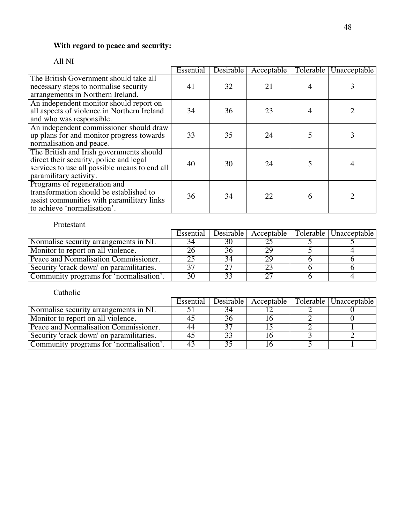## **With regard to peace and security:**

## All NI

|                                                                                                                                                                | Essential | Desirable | Acceptable | Tolerable | Unacceptable |
|----------------------------------------------------------------------------------------------------------------------------------------------------------------|-----------|-----------|------------|-----------|--------------|
| The British Government should take all<br>necessary steps to normalise security<br>arrangements in Northern Ireland.                                           | 41        | 32        | 21         |           |              |
| An independent monitor should report on<br>all aspects of violence in Northern Ireland<br>and who was responsible.                                             | 34        | 36        | 23         | 4         |              |
| An independent commissioner should draw<br>up plans for and monitor progress towards<br>normalisation and peace.                                               | 33        | 35        | 24         |           |              |
| The British and Irish governments should<br>direct their security, police and legal<br>services to use all possible means to end all<br>paramilitary activity. | 40        | 30        | 24         | 5         |              |
| Programs of regeneration and<br>transformation should be established to<br>assist communities with paramilitary links<br>to achieve 'normalisation'.           | 36        | 34        | 22         | 6         |              |

#### Protestant

|                                          | Essential |    |  | Desirable   Acceptable   Tolerable   Unacceptable |
|------------------------------------------|-----------|----|--|---------------------------------------------------|
| Normalise security arrangements in NI.   |           | 30 |  |                                                   |
| Monitor to report on all violence.       |           |    |  |                                                   |
| Peace and Normalisation Commissioner.    |           |    |  |                                                   |
| Security 'crack down' on paramilitaries. |           |    |  |                                                   |
| Community programs for 'normalisation'.  | 30        |    |  |                                                   |

|                                          | Essential |  | Desirable   Acceptable   Tolerable   Unacceptable |
|------------------------------------------|-----------|--|---------------------------------------------------|
| Normalise security arrangements in NI.   |           |  |                                                   |
| Monitor to report on all violence.       |           |  |                                                   |
| Peace and Normalisation Commissioner.    | 44        |  |                                                   |
| Security 'crack down' on paramilitaries. | 45        |  |                                                   |
| Community programs for 'normalisation'.  | 43        |  |                                                   |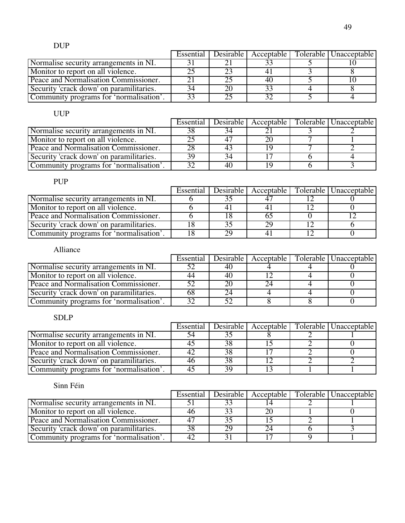|                                          | Essential | Desirable | Acceptable | Tolerable Unacceptable |
|------------------------------------------|-----------|-----------|------------|------------------------|
| Normalise security arrangements in NI.   |           |           |            |                        |
| Monitor to report on all violence.       |           |           |            |                        |
| Peace and Normalisation Commissioner.    |           |           | 40         |                        |
| Security 'crack down' on paramilitaries. | 34        |           |            |                        |
| Community programs for 'normalisation'.  | 33        |           |            |                        |

|                                          | Essential |  | Desirable   Acceptable   Tolerable   Unacceptable |
|------------------------------------------|-----------|--|---------------------------------------------------|
| Normalise security arrangements in NI.   |           |  |                                                   |
| Monitor to report on all violence.       |           |  |                                                   |
| Peace and Normalisation Commissioner.    |           |  |                                                   |
| Security 'crack down' on paramilitaries. |           |  |                                                   |
| Community programs for 'normalisation'.  |           |  |                                                   |

#### PUP

|                                          | Essential |  | Desirable   Acceptable   Tolerable   Unacceptable |
|------------------------------------------|-----------|--|---------------------------------------------------|
| Normalise security arrangements in NI.   |           |  |                                                   |
| Monitor to report on all violence.       |           |  |                                                   |
| Peace and Normalisation Commissioner.    |           |  |                                                   |
| Security 'crack down' on paramilitaries. |           |  |                                                   |
| Community programs for 'normalisation'.  |           |  |                                                   |

## Alliance

|                                         | Essential |    |  | Desirable Acceptable   Tolerable   Unacceptable |
|-----------------------------------------|-----------|----|--|-------------------------------------------------|
| Normalise security arrangements in NI.  |           | 40 |  |                                                 |
| Monitor to report on all violence.      |           | 40 |  |                                                 |
| Peace and Normalisation Commissioner.   |           |    |  |                                                 |
| Security crack down' on paramilitaries. |           |    |  |                                                 |
| Community programs for 'normalisation'. |           |    |  |                                                 |

## SDLP

|                                          | Essential |    |  | Desirable   Acceptable   Tolerable   Unacceptable |
|------------------------------------------|-----------|----|--|---------------------------------------------------|
| Normalise security arrangements in NI.   |           |    |  |                                                   |
| Monitor to report on all violence.       |           |    |  |                                                   |
| Peace and Normalisation Commissioner.    |           |    |  |                                                   |
| Security 'crack down' on paramilitaries. |           |    |  |                                                   |
| Community programs for 'normalisation'.  |           | 39 |  |                                                   |

|                                          | Essential |  | Desirable   Acceptable   Tolerable   Unacceptable |
|------------------------------------------|-----------|--|---------------------------------------------------|
| Normalise security arrangements in NI.   |           |  |                                                   |
| Monitor to report on all violence.       |           |  |                                                   |
| Peace and Normalisation Commissioner.    |           |  |                                                   |
| Security 'crack down' on paramilitaries. |           |  |                                                   |
| Community programs for 'normalisation'.  |           |  |                                                   |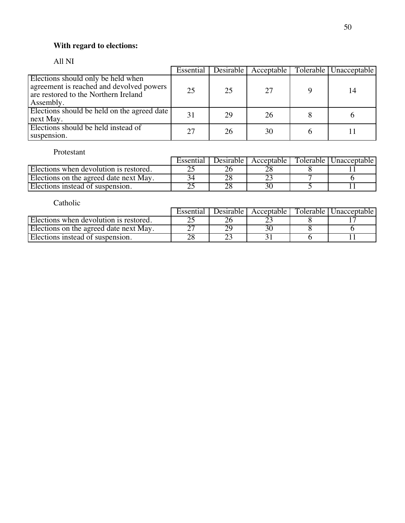## **With regard to elections:**

#### All NI

|                                                                                                                                     | Essential | <b>Desirable</b> | Acceptable | Tolerable   Unacceptable |
|-------------------------------------------------------------------------------------------------------------------------------------|-----------|------------------|------------|--------------------------|
| Elections should only be held when<br>agreement is reached and devolved powers<br>are restored to the Northern Ireland<br>Assembly. | 25        | 25               | 27         | 14                       |
| Elections should be held on the agreed date<br>next May.                                                                            | 31        | 29               | 26         |                          |
| Elections should be held instead of<br>suspension.                                                                                  | 27        | 26               | 30         |                          |

#### Protestant

|                                        | Essential | Desirable I | Acceptable | Tolerable   Unacceptable |
|----------------------------------------|-----------|-------------|------------|--------------------------|
| Elections when devolution is restored. |           |             |            |                          |
| Elections on the agreed date next May. |           |             |            |                          |
| Elections instead of suspension.       |           |             |            |                          |

|                                        | Essential | Desirable I | Acceptable | Tolerable   Unacceptable |
|----------------------------------------|-----------|-------------|------------|--------------------------|
| Elections when devolution is restored. |           |             |            |                          |
| Elections on the agreed date next May. |           |             |            |                          |
| Elections instead of suspension.       |           |             |            |                          |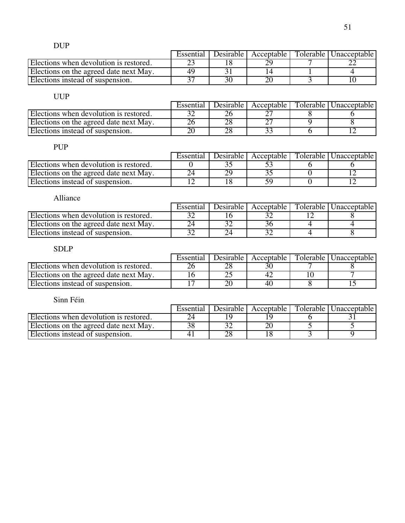|                                        | Essential | Desirable | Acceptable I | Tolerable I | Unacceptable |
|----------------------------------------|-----------|-----------|--------------|-------------|--------------|
| Elections when devolution is restored. |           |           |              |             |              |
| Elections on the agreed date next May. | 49        |           |              |             |              |
| Elections instead of suspension.       |           |           |              |             |              |

|                                        | Essential | Desirable L | Acceptable | Tolerable   Unacceptable |
|----------------------------------------|-----------|-------------|------------|--------------------------|
| Elections when devolution is restored. |           |             |            |                          |
| Elections on the agreed date next May. |           |             |            |                          |
| Elections instead of suspension.       |           |             |            |                          |

## PUP

|                                        | Essential | Desirable I | Acceptable | Tolerable   Unacceptable |
|----------------------------------------|-----------|-------------|------------|--------------------------|
| Elections when devolution is restored. |           |             |            |                          |
| Elections on the agreed date next May. |           |             |            |                          |
| Elections instead of suspension.       |           |             |            |                          |

| Alliance                               |           |  |                                                 |
|----------------------------------------|-----------|--|-------------------------------------------------|
|                                        | Essential |  | Desirable Acceptable   Tolerable   Unacceptable |
| Elections when devolution is restored. |           |  |                                                 |
| Elections on the agreed date next May. |           |  |                                                 |
| Elections instead of suspension.       |           |  |                                                 |

## SDLP

|                                        | Essential | Desirable L | Acceptable | Tolerable   Unacceptable |
|----------------------------------------|-----------|-------------|------------|--------------------------|
| Elections when devolution is restored. |           |             |            |                          |
| Elections on the agreed date next May. |           |             |            |                          |
| Elections instead of suspension.       |           |             |            |                          |

|                                        | Essential | Desirable L | Acceptable | Tolerable   Unacceptable |
|----------------------------------------|-----------|-------------|------------|--------------------------|
| Elections when devolution is restored. |           |             |            |                          |
| Elections on the agreed date next May. |           |             |            |                          |
| Elections instead of suspension.       |           |             |            |                          |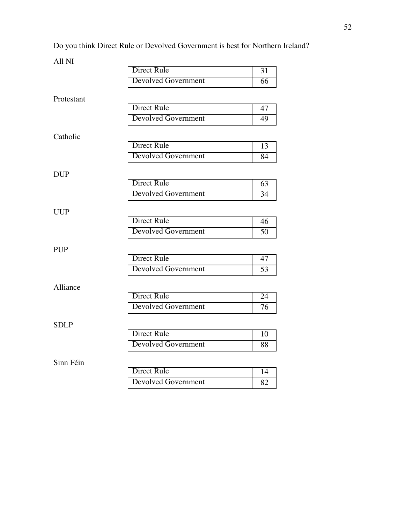Do you think Direct Rule or Devolved Government is best for Northern Ireland?

All NI

|             | <b>Direct Rule</b>         | 31              |
|-------------|----------------------------|-----------------|
|             | <b>Devolved Government</b> | 66              |
| Protestant  |                            |                 |
|             | <b>Direct Rule</b>         | 47              |
|             | <b>Devolved Government</b> | 49              |
| Catholic    |                            |                 |
|             | <b>Direct Rule</b>         | 13              |
|             | <b>Devolved Government</b> | 84              |
| <b>DUP</b>  |                            |                 |
|             | <b>Direct Rule</b>         | 63              |
|             | <b>Devolved Government</b> | 34              |
| <b>UUP</b>  |                            |                 |
|             | <b>Direct Rule</b>         | 46              |
|             | <b>Devolved Government</b> | 50              |
| <b>PUP</b>  |                            |                 |
|             | <b>Direct Rule</b>         | 47              |
|             | <b>Devolved Government</b> | $\overline{53}$ |
| Alliance    |                            |                 |
|             | <b>Direct Rule</b>         | 24              |
|             | <b>Devolved Government</b> | 76              |
| <b>SDLP</b> |                            |                 |
|             | <b>Direct Rule</b>         | 10              |
|             | <b>Devolved Government</b> | 88              |
| Sinn Féin   |                            |                 |
|             | <b>Direct Rule</b>         | 14              |
|             | <b>Devolved Government</b> | 82              |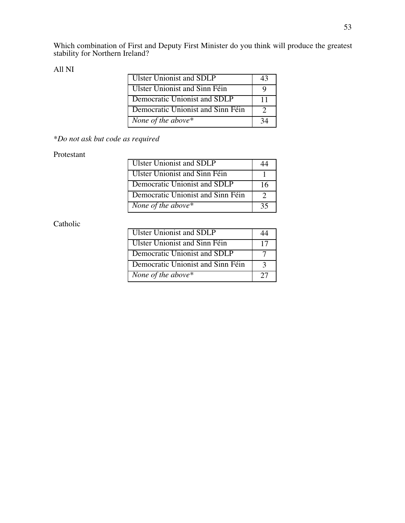Which combination of First and Deputy First Minister do you think will produce the greatest stability for Northern Ireland?

#### All NI

| <b>Ulster Unionist and SDLP</b>   |    |
|-----------------------------------|----|
| Ulster Unionist and Sinn Féin     |    |
| Democratic Unionist and SDLP      | 11 |
| Democratic Unionist and Sinn Féin |    |
| None of the above*                |    |

## *\*Do not ask but code as required*

#### Protestant

| <b>Ulster Unionist and SDLP</b>   |    |
|-----------------------------------|----|
| Ulster Unionist and Sinn Féin     |    |
| Democratic Unionist and SDLP      | 16 |
| Democratic Unionist and Sinn Féin |    |
| None of the above*                | 35 |

| <b>Ulster Unionist and SDLP</b>   |    |
|-----------------------------------|----|
| Ulster Unionist and Sinn Féin     | 17 |
| Democratic Unionist and SDLP      |    |
| Democratic Unionist and Sinn Féin |    |
| None of the above*                |    |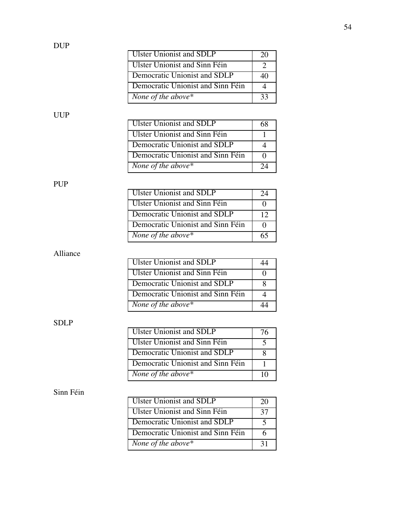| <b>Ulster Unionist and SDLP</b><br>20<br>Ulster Unionist and Sinn Féin |                              |  |
|------------------------------------------------------------------------|------------------------------|--|
|                                                                        |                              |  |
|                                                                        |                              |  |
|                                                                        | Democratic Unionist and SDLP |  |
| Democratic Unionist and Sinn Féin                                      |                              |  |
| None of the above*<br>33                                               |                              |  |

| Ulster Unionist and SDLP          |  |
|-----------------------------------|--|
| Ulster Unionist and Sinn Féin     |  |
| Democratic Unionist and SDLP      |  |
| Democratic Unionist and Sinn Féin |  |
| None of the above*                |  |

# PUP

| <b>Ulster Unionist and SDLP</b>   | 24 |
|-----------------------------------|----|
| Ulster Unionist and Sinn Féin     |    |
| Democratic Unionist and SDLP      | 12 |
| Democratic Unionist and Sinn Féin |    |
| None of the above $*$             |    |

## Alliance

| <b>Ulster Unionist and SDLP</b>   |  |
|-----------------------------------|--|
| Ulster Unionist and Sinn Féin     |  |
| Democratic Unionist and SDLP      |  |
| Democratic Unionist and Sinn Féin |  |
| None of the above $*$             |  |

## SDLP

| Ulster Unionist and SDLP          | 76 |
|-----------------------------------|----|
| Ulster Unionist and Sinn Féin     |    |
| Democratic Unionist and SDLP      |    |
| Democratic Unionist and Sinn Féin |    |
| None of the above*                |    |

| <b>Ulster Unionist and SDLP</b>   | 20 |
|-----------------------------------|----|
| Ulster Unionist and Sinn Féin     | 37 |
| Democratic Unionist and SDLP      |    |
| Democratic Unionist and Sinn Féin |    |
| None of the above*                | 31 |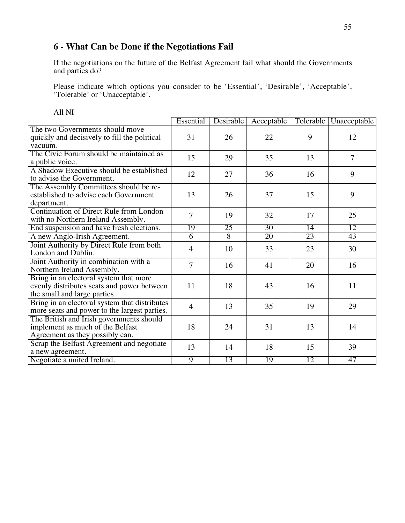## **6 - What Can be Done if the Negotiations Fail**

If the negotiations on the future of the Belfast Agreement fail what should the Governments and parties do?

Please indicate which options you consider to be 'Essential', 'Desirable', 'Acceptable', 'Tolerable' or 'Unacceptable'.

|                                                                                                                      | Essential      | Desirable      | Acceptable | Tolerable | Unacceptable   |
|----------------------------------------------------------------------------------------------------------------------|----------------|----------------|------------|-----------|----------------|
| The two Governments should move<br>quickly and decisively to fill the political<br>vacuum.                           | 31             | 26             | 22         | 9         | 12             |
| The Civic Forum should be maintained as<br>a public voice.                                                           | 15             | 29             | 35         | 13        | $\overline{7}$ |
| A Shadow Executive should be established<br>to advise the Government.                                                | 12             | 27             | 36         | 16        | 9              |
| The Assembly Committees should be re-<br>established to advise each Government<br>department.                        | 13             | 26             | 37         | 15        | 9              |
| Continuation of Direct Rule from London<br>with no Northern Ireland Assembly.                                        | $\overline{7}$ | 19             | 32         | 17        | 25             |
| End suspension and have fresh elections.                                                                             | 19             | 25             | 30         | 14        | 12             |
| A new Anglo-Irish Agreement.                                                                                         | $\overline{6}$ | $\overline{8}$ | 20         | 23        | 43             |
| Joint Authority by Direct Rule from both<br>London and Dublin.                                                       | $\overline{4}$ | 10             | 33         | 23        | 30             |
| Joint Authority in combination with a<br>Northern Ireland Assembly.                                                  | $\tau$         | 16             | 41         | 20        | 16             |
| Bring in an electoral system that more<br>evenly distributes seats and power between<br>the small and large parties. | 11             | 18             | 43         | 16        | 11             |
| Bring in an electoral system that distributes<br>more seats and power to the largest parties.                        | $\overline{4}$ | 13             | 35         | 19        | 29             |
| The British and Irish governments should<br>implement as much of the Belfast<br>Agreement as they possibly can.      | 18             | 24             | 31         | 13        | 14             |
| Scrap the Belfast Agreement and negotiate<br>a new agreement.                                                        | 13             | 14             | 18         | 15        | 39             |
| Negotiate a united Ireland.                                                                                          | $\overline{9}$ | 13             | 19         | 12        | 47             |

All NI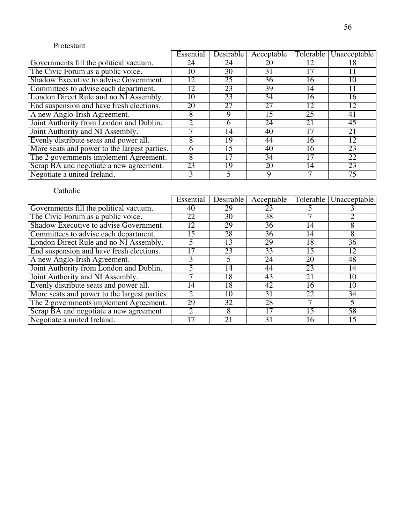#### Protestant

|                                              | Essential    | Desirable | Acceptable |    | Tolerable   Unacceptable |
|----------------------------------------------|--------------|-----------|------------|----|--------------------------|
| Governments fill the political vacuum.       | 24           | 24        | 20         | 12 | 18                       |
| The Civic Forum as a public voice.           | 10           | 30        | 31         | 17 |                          |
| Shadow Executive to advise Government.       | 12           | 25        | 36         | 16 | 10                       |
| Committees to advise each department.        | 12           | 23        | 39         | 14 |                          |
| London Direct Rule and no NI Assembly.       | 10           | 23        | 34         | 16 | 16                       |
| End suspension and have fresh elections.     | 20           | 27        | 27         | 12 | 12                       |
| A new Anglo-Irish Agreement.                 | 8            | 9         | 15         | 25 | 41                       |
| Joint Authority from London and Dublin.      |              | 6         | 24         | 21 | 45                       |
| Joint Authority and NI Assembly.             |              | 14        | 40         | 17 | 21                       |
| Evenly distribute seats and power all.       | 8            | 19        | 44         | 16 | 12                       |
| More seats and power to the largest parties. | <sub>0</sub> | 15        | 40         | 16 | 23                       |
| The 2 governments implement Agreement.       | 8            |           | 34         | 17 | 22                       |
| Scrap BA and negotiate a new agreement.      | 23           | 19        | 20         | 14 | $\overline{23}$          |
| Negotiate a united Ireland.                  | 3            |           | 9          |    | $\overline{75}$          |
|                                              |              |           |            |    |                          |

|                                              | Essential                   | Desirable       | Acceptable |    | Tolerable   Unacceptable |
|----------------------------------------------|-----------------------------|-----------------|------------|----|--------------------------|
| Governments fill the political vacuum.       | 40                          | 29              | 23         |    |                          |
| The Civic Forum as a public voice.           | 22                          | 30              | 38         |    |                          |
| Shadow Executive to advise Government.       | 12                          | 29              | 36         | 14 | 8                        |
| Committees to advise each department.        | 15                          | 28              | 36         | 14 | 8                        |
| London Direct Rule and no NI Assembly.       |                             | 13              | 29         | 18 | 36                       |
| End suspension and have fresh elections.     |                             | 23              | 33         | 15 | 12                       |
| A new Anglo-Irish Agreement.                 |                             |                 | 24         | 20 | 48                       |
| Joint Authority from London and Dublin.      |                             | 14              | 44         | 23 | 14                       |
| Joint Authority and NI Assembly.             |                             | 18              | 43         | 21 | 10                       |
| Evenly distribute seats and power all.       | 14                          | 18              | 42         | 16 | 10                       |
| More seats and power to the largest parties. | $\mathcal{D}_{\mathcal{L}}$ | 10              | 31         | 22 | $\overline{34}$          |
| The 2 governments implement Agreement.       | 29                          | $\overline{32}$ | 28         |    |                          |
| Scrap BA and negotiate a new agreement.      | $\mathcal{D}$               | 8               | 17         | 15 | 58                       |
| Negotiate a united Ireland.                  |                             | 21              | 31         | 16 | 15                       |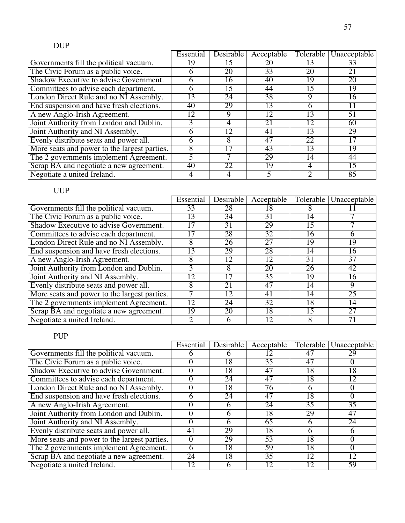|                                              | Essential | Desirable | Acceptable |    | Tolerable   Unacceptable |
|----------------------------------------------|-----------|-----------|------------|----|--------------------------|
| Governments fill the political vacuum.       | 9         |           | 20         |    | 33                       |
| The Civic Forum as a public voice.           |           | 20        | 33         | 20 | 21                       |
| Shadow Executive to advise Government.       |           | 16        | 40         | 19 | 20                       |
| Committees to advise each department.        | n         | 15        | 44         | 15 | 19                       |
| London Direct Rule and no NI Assembly.       | 13        | 24        | 38         | 9  | 16                       |
| End suspension and have fresh elections.     | 40        | 29        | 13         | 6  |                          |
| A new Anglo-Irish Agreement.                 | 12        |           | 12         | 13 | 51                       |
| Joint Authority from London and Dublin.      |           |           | 21         | 12 | 60                       |
| Joint Authority and NI Assembly.             |           | 12        | 41         | 13 | 29                       |
| Evenly distribute seats and power all.       |           |           | 47         | 22 | 17                       |
| More seats and power to the largest parties. |           |           | 43         | 13 | $1\overline{9}$          |
| The 2 governments implement Agreement.       |           |           | 29         | 14 | 44                       |
| Scrap BA and negotiate a new agreement.      | 40        | 22        | 19         | 4  | $1\overline{5}$          |
| Negotiate a united Ireland.                  |           |           |            |    | 85                       |

|                                              | Essential | Desirable | Acceptable      |    | Tolerable   Unacceptable |
|----------------------------------------------|-----------|-----------|-----------------|----|--------------------------|
| Governments fill the political vacuum.       | 33        | 28        | 18              |    |                          |
| The Civic Forum as a public voice.           | 13        | 34        | 31              | 14 |                          |
| Shadow Executive to advise Government.       |           | 31        | 29              | 15 |                          |
| Committees to advise each department.        |           | 28        | $\overline{32}$ | 16 | <sub>6</sub>             |
| London Direct Rule and no NI Assembly.       | 8         | 26        | 27              | 19 | 19                       |
| End suspension and have fresh elections.     | 13        | 29        | 28              | 14 | 16                       |
| A new Anglo-Irish Agreement.                 |           | 12        | 12              | 31 | 37                       |
| Joint Authority from London and Dublin.      |           |           | 20              | 26 | 42                       |
| Joint Authority and NI Assembly.             | 12        |           | $\overline{35}$ | 19 | 16                       |
| Evenly distribute seats and power all.       | 8         | 21        | 47              | 14 | 9                        |
| More seats and power to the largest parties. |           | 12        | 41              | 14 | 25                       |
| The 2 governments implement Agreement.       | 12        | 24        | 32              | 18 | 14                       |
| Scrap BA and negotiate a new agreement.      | 19        | 20        | 18              | 15 | 27                       |
| Negotiate a united Ireland.                  |           | n         | 12              | 8  |                          |

# PUP

|                                              | Essential | <b>Desirable</b> | Acceptable      | Tolerable | Unacceptable |
|----------------------------------------------|-----------|------------------|-----------------|-----------|--------------|
| Governments fill the political vacuum.       |           |                  |                 | 47        | 29           |
| The Civic Forum as a public voice.           |           | 18               | $\overline{35}$ | 47        |              |
| Shadow Executive to advise Government.       |           | 18               | 47              | 18        | 18           |
| Committees to advise each department.        |           | 24               | 47              | 18        | 12           |
| London Direct Rule and no NI Assembly.       |           | 18               | $7\overline{6}$ | 6         |              |
| End suspension and have fresh elections.     | n         | 24               | 47              | 18        | $\Omega$     |
| A new Anglo-Irish Agreement.                 |           |                  | 24              | 35        | 35           |
| Joint Authority from London and Dublin.      |           |                  | 18              | 29        | 47           |
| Joint Authority and NI Assembly.             |           |                  | 65              | 6         | 24           |
| Evenly distribute seats and power all.       | 41        | 29               | 18              | 6         | <sub>6</sub> |
| More seats and power to the largest parties. |           | 29               | $\overline{53}$ | 18        |              |
| The 2 governments implement Agreement.       | h         | 18               | 59              | 18        |              |
| Scrap BA and negotiate a new agreement.      | 24        | 18               | $\overline{35}$ | 12        | 12           |
| Negotiate a united Ireland.                  | 12        |                  |                 | 12        | 59           |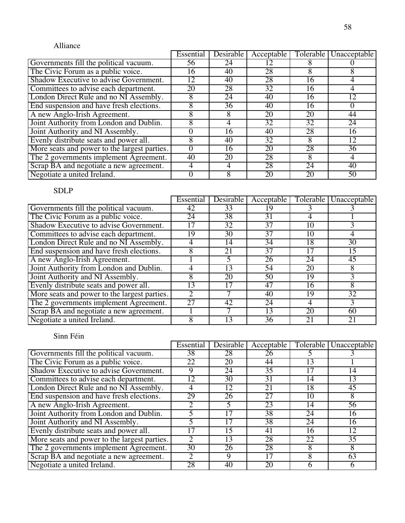## Alliance

|                                              | Essential | Desirable | Acceptable      |                 | Tolerable   Unacceptable |
|----------------------------------------------|-----------|-----------|-----------------|-----------------|--------------------------|
| Governments fill the political vacuum.       | 56        | 24        |                 |                 |                          |
| The Civic Forum as a public voice.           | 16        | 40        | 28              |                 |                          |
| Shadow Executive to advise Government.       | 12        | 40        | 28              | 16              |                          |
| Committees to advise each department.        | 20        | 28        | $\overline{32}$ | 16              |                          |
| London Direct Rule and no NI Assembly.       |           | 24        | 40              | 16              | 12                       |
| End suspension and have fresh elections.     |           | 36        | 40              | 16              | $_{0}$                   |
| A new Anglo-Irish Agreement.                 |           |           | 20              | 20              | 44                       |
| Joint Authority from London and Dublin.      |           |           | $3\overline{2}$ | 32              | 24                       |
| Joint Authority and NI Assembly.             |           | 16        | 40              | 28              | 16                       |
| Evenly distribute seats and power all.       |           | 40        | $\overline{32}$ | 8               | 12                       |
| More seats and power to the largest parties. |           | 16        | 20              | $2\overline{8}$ | $\overline{36}$          |
| The 2 governments implement Agreement.       | 40        | 20        | 28              | 8               |                          |
| Scrap BA and negotiate a new agreement.      |           |           | 28              | 24              | 40                       |
| Negotiate a united Ireland.                  |           |           | 20              | 20              | 50                       |

# SDLP

|                                              | Essential | Desirable | Acceptable      | Tolerable       | Unacceptable    |
|----------------------------------------------|-----------|-----------|-----------------|-----------------|-----------------|
| Governments fill the political vacuum.       | 42        | 33        | 19              |                 |                 |
| The Civic Forum as a public voice.           | 24        | 38        | 31              |                 |                 |
| Shadow Executive to advise Government.       |           | 32        | 37              | 10              |                 |
| Committees to advise each department.        | 19        | 30        | $\overline{37}$ | 10              | 4               |
| London Direct Rule and no NI Assembly.       |           | 14        | 34              | 18              | 30              |
| End suspension and have fresh elections.     | 8         | 21        | 37              | 17              | 15              |
| A new Anglo-Irish Agreement.                 |           |           | 26              | 24              | 45              |
| Joint Authority from London and Dublin.      |           | 13        | 54              | 20              | 8               |
| Joint Authority and NI Assembly.             | Λ         | 20        | 50              | 19              |                 |
| Evenly distribute seats and power all.       | 3         |           | 47              | 16              | 8               |
| More seats and power to the largest parties. |           |           | 40              | 19              | $\overline{32}$ |
| The 2 governments implement Agreement.       | 27        | 42        | 24              | 4               |                 |
| Scrap BA and negotiate a new agreement.      |           |           | 13              | $\overline{20}$ | 60              |
| Negotiate a united Ireland.                  | Λ         | 13        | 36              | 21              | 21              |

|                                              | Essential       | <b>Desirable</b> | Acceptable      | Tolerable | Unacceptable    |
|----------------------------------------------|-----------------|------------------|-----------------|-----------|-----------------|
| Governments fill the political vacuum.       | 38              | 28               | 26              |           |                 |
| The Civic Forum as a public voice.           | 22              | 20               | 44              | 13        |                 |
| Shadow Executive to advise Government.       | 9               | 24               | $\overline{35}$ | 17        | 14              |
| Committees to advise each department.        | 12              | 30               | 31              | 14        | 13              |
| London Direct Rule and no NI Assembly.       |                 | 12               | 21              | 18        | 45              |
| End suspension and have fresh elections.     | 29              | 26               | $\overline{27}$ | 10        | 8               |
| A new Anglo-Irish Agreement.                 |                 |                  | 23              | 14        | 56              |
| Joint Authority from London and Dublin.      |                 |                  | 38              | 24        | 16              |
| Joint Authority and NI Assembly.             |                 |                  | 38              | 24        | 16              |
| Evenly distribute seats and power all.       | 17              | 5                | 41              | 16        | 12              |
| More seats and power to the largest parties. |                 | 13               | 28              | 22        | $\overline{35}$ |
| The 2 governments implement Agreement.       | $\overline{30}$ | 26               | 28              | 8         | 8               |
| Scrap BA and negotiate a new agreement.      | $\mathcal{D}$   | 9                | 17              | 8         | 63              |
| Negotiate a united Ireland.                  | 28              | 40               | 20              |           | n               |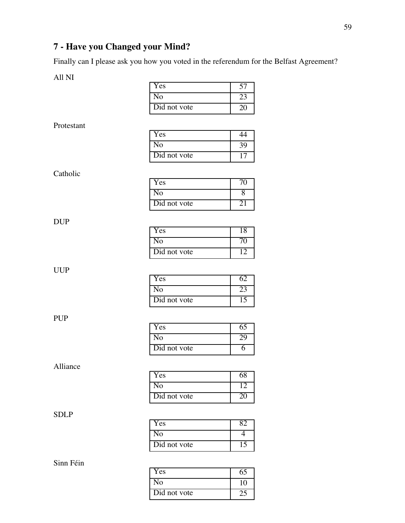# **7 - Have you Changed your Mind?**

Finally can I please ask you how you voted in the referendum for the Belfast Agreement?

All NI

| Yes          |  |
|--------------|--|
| N٥           |  |
| Did not vote |  |

#### Protestant

| Yes          |    |
|--------------|----|
| No           | 39 |
| Did not vote |    |

#### Catholic

| Yes          |  |
|--------------|--|
| Nο           |  |
| Did not vote |  |

#### DUP

| Y es         |  |
|--------------|--|
| Ñо           |  |
| Did not vote |  |

#### UUP

| Y es                      |  |
|---------------------------|--|
| √ი                        |  |
| $\overline{Did}$ not vote |  |

#### PUP

| Y es         |  |
|--------------|--|
| Ω            |  |
| Did not vote |  |

#### Alliance

| Y es                      |  |
|---------------------------|--|
| Nο                        |  |
| $\overline{Did}$ not vote |  |

## SDLP

| Yes          |  |
|--------------|--|
| រក           |  |
| Did not vote |  |

| Y es         | რა       |
|--------------|----------|
| N۵           | $\theta$ |
| Did not vote |          |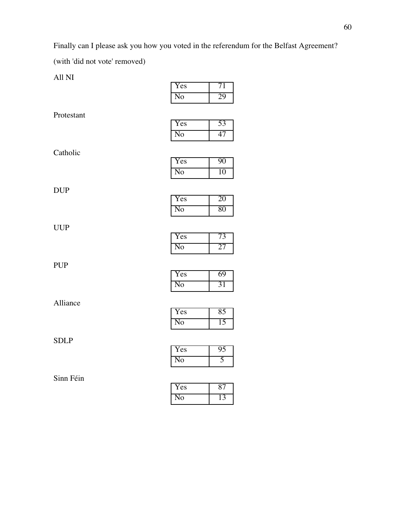Finally can I please ask you how you voted in the referendum for the Belfast Agreement?

(with 'did not vote' removed)

All NI

| 'es |  |
|-----|--|
| О   |  |

Protestant

| 'es |  |
|-----|--|
| 0   |  |

Catholic

| Yes |  |
|-----|--|
| ١O  |  |

DUP

| 'es |  |
|-----|--|
| റ   |  |

UUP

| <b>Yes</b> |  |
|------------|--|
| റ          |  |

PUP

| Y es |  |
|------|--|
| ∩    |  |

Alliance

| Yes | x٠ |
|-----|----|
| ⊴Ω  |    |

SDLP

| í es |  |
|------|--|
|      |  |

| í es |  |
|------|--|
|      |  |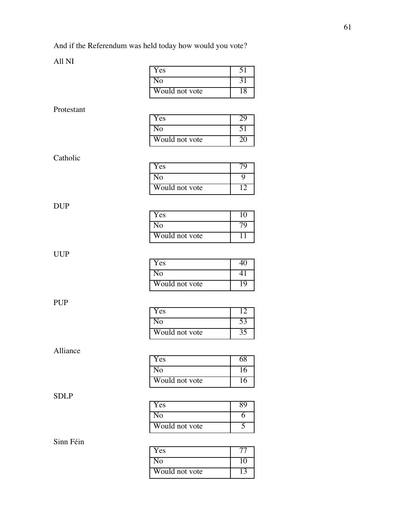# All NI

|             | Yes                    | 51              |
|-------------|------------------------|-----------------|
|             | $\overline{No}$        | 31              |
|             | Would not vote         | 18              |
|             |                        |                 |
| Protestant  | Yes                    | 29              |
|             | N <sub>o</sub>         | 51              |
|             | Would not vote         | 20              |
|             |                        |                 |
| Catholic    |                        |                 |
|             | Yes                    | 79              |
|             | N <sub>o</sub>         | 9               |
|             | Would not vote         | 12              |
| <b>DUP</b>  |                        |                 |
|             | Yes                    | 10              |
|             | N <sub>o</sub>         | 79              |
|             | Would not vote         | $\overline{11}$ |
|             |                        |                 |
| <b>UUP</b>  | Yes                    | $\overline{40}$ |
|             | No                     | $\overline{41}$ |
|             | Would not vote         | 19              |
|             |                        |                 |
| <b>PUP</b>  |                        |                 |
|             | Yes                    | 12              |
|             | $\overline{\text{No}}$ | 53              |
|             | Would not vote         | $\overline{35}$ |
| Alliance    |                        |                 |
|             | Yes                    | 68              |
|             | No                     | 16              |
|             | Would not vote         | 16              |
| <b>SDLP</b> |                        |                 |
|             | Yes                    | 89              |
|             | N <sub>o</sub>         | $\overline{6}$  |
|             | Would not vote         | $\overline{5}$  |
| Sinn Féin   |                        |                 |
|             | Yes                    | 77              |
|             | No                     | 10              |
|             | Would not vote         | 13              |

## 61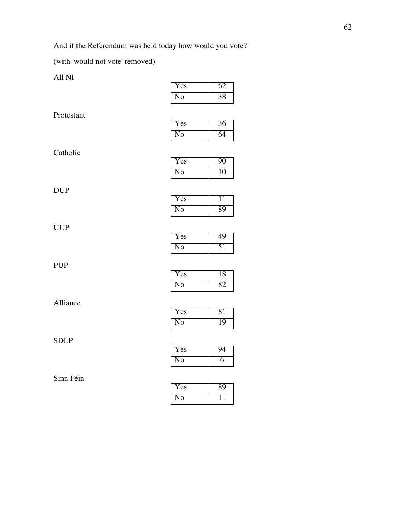And if the Referendum was held today how would you vote?

(with 'would not vote' removed)

All NI

| Yes | 62 |
|-----|----|
| No  | 28 |

Protestant

| Yes      |  |
|----------|--|
| $\Omega$ |  |

Catholic

| Yes |     |
|-----|-----|
| ٧O  | ''' |

DUP

| 'es |  |
|-----|--|
|     |  |

UUP

| <b>Yes</b> |  |
|------------|--|
| NO.        |  |

PUP

| Yes      | 8 |
|----------|---|
| $\Omega$ |   |

Alliance

| Yes           | -81 |
|---------------|-----|
| $\Omega^{12}$ |     |

SDLP

| Y es                 |  |
|----------------------|--|
| $^{\prime}$ $\Omega$ |  |

| 'es |  |
|-----|--|
| υ   |  |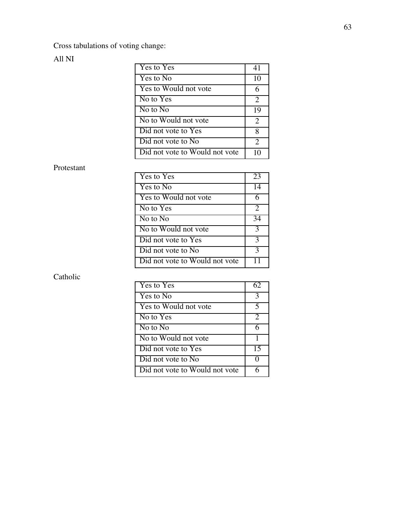Cross tabulations of voting change:

#### All NI

| Yes to Yes                     | 41             |
|--------------------------------|----------------|
| Yes to No                      | 10             |
| Yes to Would not vote          | 6              |
| No to $Yes$                    | $\overline{2}$ |
| No to No                       | 19             |
| No to Would not vote           | $\overline{2}$ |
| Did not vote to Yes            | 8              |
| Did not vote to No.            | $\overline{2}$ |
| Did not vote to Would not vote |                |

#### Protestant

| Yes to Yes                     | 23 |
|--------------------------------|----|
| Yes to No                      | 14 |
| Yes to Would not vote          |    |
| No to Yes                      | 2  |
| No to No                       | 34 |
| No to Would not vote           | 3  |
| Did not vote to Yes            | 3  |
| Did not vote to No             | 3  |
| Did not vote to Would not vote |    |

| Yes to Yes                     | 62 |
|--------------------------------|----|
| Yes to No                      | 3  |
| Yes to Would not vote          | 5  |
| No to Yes                      | 2  |
| No to No                       | 6  |
| No to Would not vote           |    |
| Did not vote to Yes            | 15 |
| Did not vote to No             |    |
| Did not vote to Would not vote |    |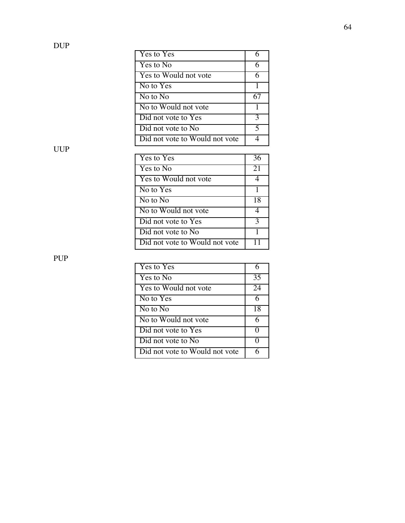| Yes to Yes                     |   |
|--------------------------------|---|
| Yes to No                      |   |
| Yes to Would not vote          | h |
| No to Yes                      |   |
| No to No                       |   |
| No to Would not vote           |   |
| Did not vote to Yes            | 3 |
| Did not vote to No.            | 5 |
| Did not vote to Would not vote |   |

| Yes to Yes                     | 36 |
|--------------------------------|----|
| Yes to No                      | 21 |
| Yes to Would not vote          |    |
| No to Yes                      |    |
| No to No                       | 18 |
| No to Would not vote           |    |
| Did not vote to Yes            | 3  |
| Did not vote to No             |    |
| Did not vote to Would not vote |    |

PUP

| Yes to Yes                     |    |
|--------------------------------|----|
| Yes to No                      | 35 |
| Yes to Would not vote          | 24 |
| No to Yes                      | 6  |
| No to No                       | 18 |
| No to Would not vote           | 6  |
| Did not vote to Yes            |    |
| Did not vote to No             | 0  |
| Did not vote to Would not vote |    |